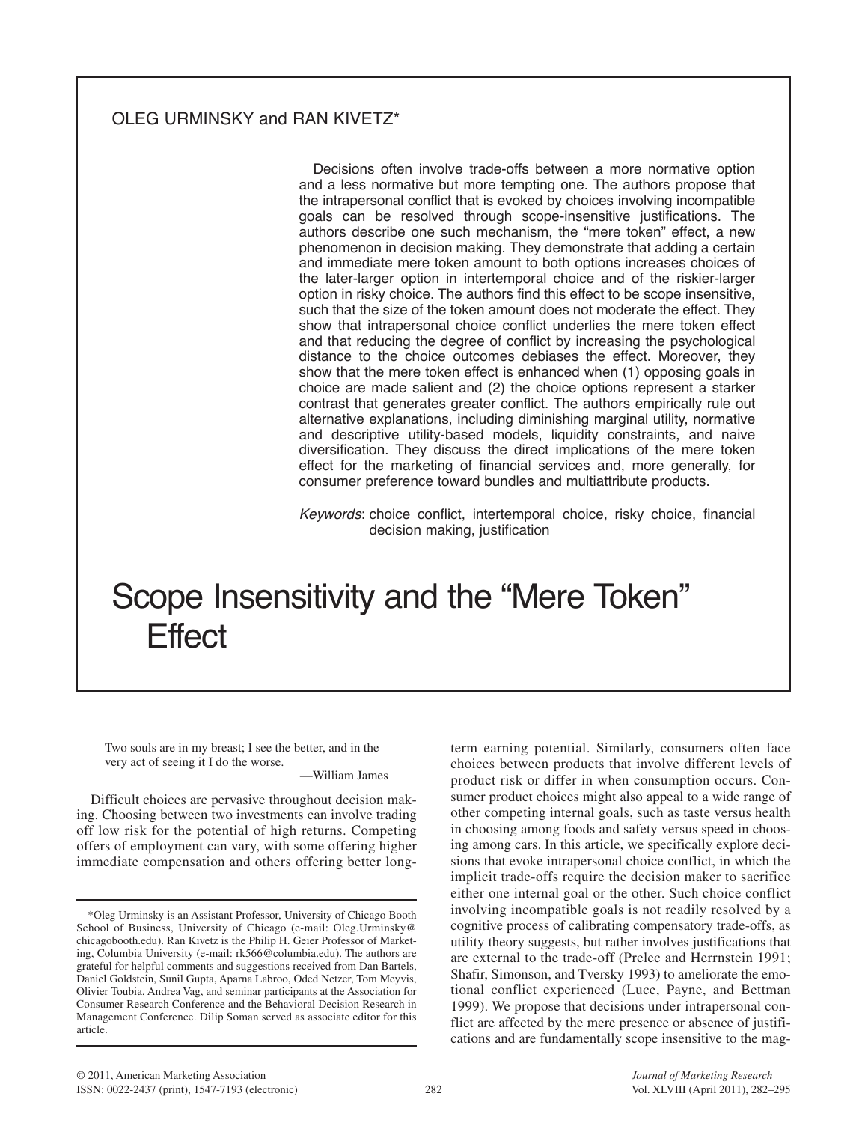# OLEG URMINSKY and RAN KIVETZ\*

Decisions often involve trade-offs between a more normative option and a less normative but more tempting one. The authors propose that the intrapersonal conflict that is evoked by choices involving incompatible goals can be resolved through scope-insensitive justifications. the authors describe one such mechanism, the "mere token" effect, a new phenomenon in decision making. They demonstrate that adding a certain and immediate mere token amount to both options increases choices of the later-larger option in intertemporal choice and of the riskier-larger option in risky choice. The authors find this effect to be scope insensitive, such that the size of the token amount does not moderate the effect. They show that intrapersonal choice conflict underlies the mere token effect and that reducing the degree of conflict by increasing the psychological distance to the choice outcomes debiases the effect. moreover, they show that the mere token effect is enhanced when (1) opposing goals in choice are made salient and (2) the choice options represent a starker contrast that generates greater conflict. The authors empirically rule out alternative explanations, including diminishing marginal utility, normative and descriptive utility-based models, liquidity constraints, and naive diversification. They discuss the direct implications of the mere token effect for the marketing of financial services and, more generally, for consumer preference toward bundles and multiattribute products.

Keywords: choice conflict, intertemporal choice, risky choice, financial decision making, justification

# Scope Insensitivity and the "Mere Token" Effect

Two souls are in my breast; I see the better, and in the very act of seeing it I do the worse.

—William James

Difficult choices are pervasive throughout decision making. Choosing between two investments can involve trading off low risk for the potential of high returns. Competing offers of employment can vary, with some offering higher immediate compensation and others offering better longterm earning potential. Similarly, consumers often face choices between products that involve different levels of product risk or differ in when consumption occurs. Consumer product choices might also appeal to a wide range of other competing internal goals, such as taste versus health in choosing among foods and safety versus speed in choosing among cars. In this article, we specifically explore decisions that evoke intrapersonal choice conflict, in which the implicit trade-offs require the decision maker to sacrifice either one internal goal or the other. Such choice conflict involving incompatible goals is not readily resolved by a cognitive process of calibrating compensatory trade-offs, as utility theory suggests, but rather involves justifications that are external to the trade-off (Prelec and Herrnstein 1991; Shafir, Simonson, and Tversky 1993) to ameliorate the emotional conflict experienced (Luce, Payne, and Bettman 1999). We propose that decisions under intrapersonal conflict are affected by the mere presence or absence of justifications and are fundamentally scope insensitive to the mag-

<sup>\*</sup>Oleg Urminsky is an Assistant Professor, University of Chicago Booth School of Business, University of Chicago (e-mail: Oleg.Urminsky@ chicagobooth.edu). Ran Kivetz is the Philip H. Geier Professor of Marketing, Columbia University (e-mail: rk566@columbia.edu). The authors are grateful for helpful comments and suggestions received from Dan Bartels, Daniel Goldstein, Sunil Gupta, Aparna Labroo, Oded Netzer, Tom Meyvis, Olivier Toubia, Andrea Vag, and seminar participants at the Association for Consumer Research Conference and the Behavioral Decision Research in Management Conference. Dilip Soman served as associate editor for this article.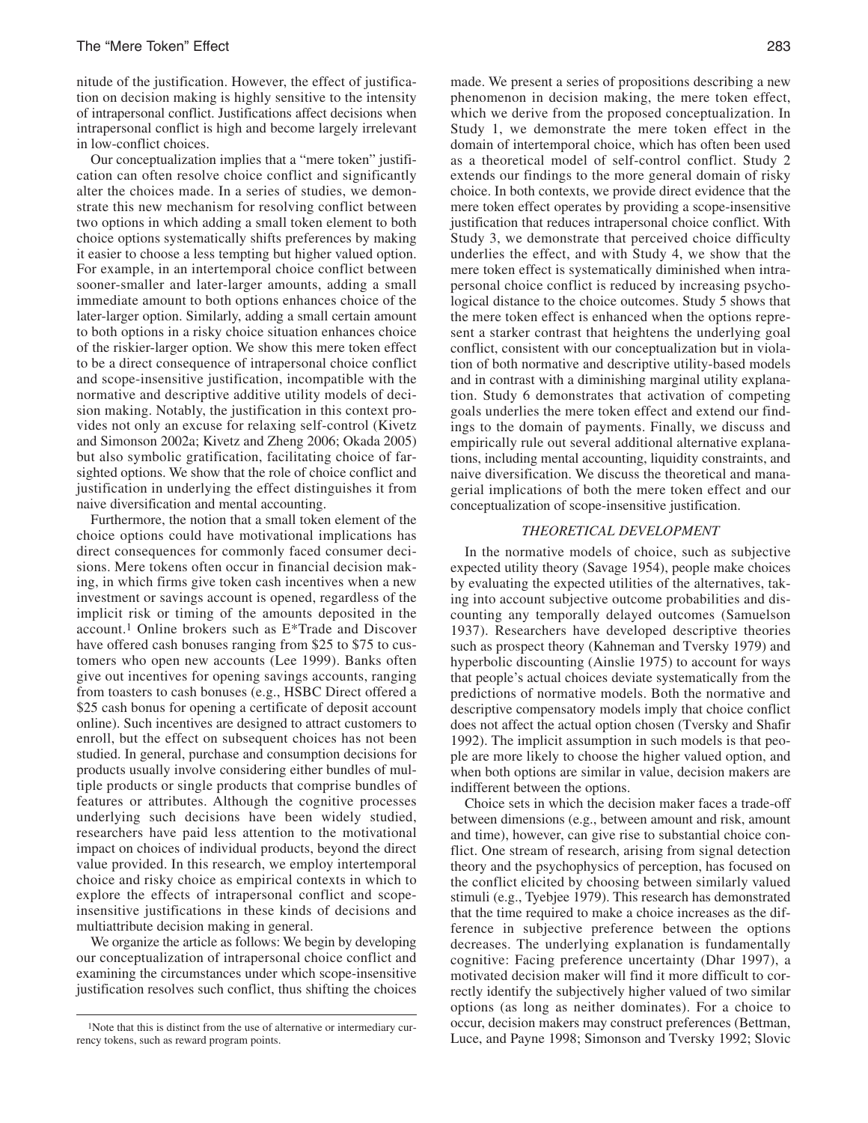nitude of the justification. However, the effect of justification on decision making is highly sensitive to the intensity of intrapersonal conflict. Justifications affect decisions when intrapersonal conflict is high and become largely irrelevant in low-conflict choices.

Our conceptualization implies that a "mere token" justification can often resolve choice conflict and significantly alter the choices made. In a series of studies, we demonstrate this new mechanism for resolving conflict between two options in which adding a small token element to both choice options systematically shifts preferences by making it easier to choose a less tempting but higher valued option. For example, in an intertemporal choice conflict between sooner-smaller and later-larger amounts, adding a small immediate amount to both options enhances choice of the later-larger option. Similarly, adding a small certain amount to both options in a risky choice situation enhances choice of the riskier-larger option. We show this mere token effect to be a direct consequence of intrapersonal choice conflict and scope-insensitive justification, incompatible with the normative and descriptive additive utility models of decision making. Notably, the justification in this context provides not only an excuse for relaxing self-control (Kivetz and Simonson 2002a; Kivetz and Zheng 2006; Okada 2005) but also symbolic gratification, facilitating choice of farsighted options. We show that the role of choice conflict and justification in underlying the effect distinguishes it from naive diversification and mental accounting.

Furthermore, the notion that a small token element of the choice options could have motivational implications has direct consequences for commonly faced consumer decisions. Mere tokens often occur in financial decision making, in which firms give token cash incentives when a new investment or savings account is opened, regardless of the implicit risk or timing of the amounts deposited in the account.1 Online brokers such as E\*Trade and Discover have offered cash bonuses ranging from \$25 to \$75 to customers who open new accounts (Lee 1999). Banks often give out incentives for opening savings accounts, ranging from toasters to cash bonuses (e.g., HSBC Direct offered a \$25 cash bonus for opening a certificate of deposit account online). Such incentives are designed to attract customers to enroll, but the effect on subsequent choices has not been studied. In general, purchase and consumption decisions for products usually involve considering either bundles of multiple products or single products that comprise bundles of features or attributes. Although the cognitive processes underlying such decisions have been widely studied, researchers have paid less attention to the motivational impact on choices of individual products, beyond the direct value provided. In this research, we employ intertemporal choice and risky choice as empirical contexts in which to explore the effects of intrapersonal conflict and scopeinsensitive justifications in these kinds of decisions and multiattribute decision making in general.

We organize the article as follows: We begin by developing our conceptualization of intrapersonal choice conflict and examining the circumstances under which scope-insensitive justification resolves such conflict, thus shifting the choices made. We present a series of propositions describing a new phenomenon in decision making, the mere token effect, which we derive from the proposed conceptualization. In Study 1, we demonstrate the mere token effect in the domain of intertemporal choice, which has often been used as a theoretical model of self-control conflict. Study 2 extends our findings to the more general domain of risky choice. In both contexts, we provide direct evidence that the mere token effect operates by providing a scope-insensitive justification that reduces intrapersonal choice conflict. With Study 3, we demonstrate that perceived choice difficulty underlies the effect, and with Study 4, we show that the mere token effect is systematically diminished when intrapersonal choice conflict is reduced by increasing psychological distance to the choice outcomes. Study 5 shows that the mere token effect is enhanced when the options represent a starker contrast that heightens the underlying goal conflict, consistent with our conceptualization but in violation of both normative and descriptive utility-based models and in contrast with a diminishing marginal utility explanation. Study 6 demonstrates that activation of competing goals underlies the mere token effect and extend our findings to the domain of payments. Finally, we discuss and empirically rule out several additional alternative explanations, including mental accounting, liquidity constraints, and naive diversification. We discuss the theoretical and managerial implications of both the mere token effect and our conceptualization of scope-insensitive justification.

### *THEORETICAL DEVELOPMENT*

In the normative models of choice, such as subjective expected utility theory (Savage 1954), people make choices by evaluating the expected utilities of the alternatives, taking into account subjective outcome probabilities and discounting any temporally delayed outcomes (Samuelson 1937). Researchers have developed descriptive theories such as prospect theory (Kahneman and Tversky 1979) and hyperbolic discounting (Ainslie 1975) to account for ways that people's actual choices deviate systematically from the predictions of normative models. Both the normative and descriptive compensatory models imply that choice conflict does not affect the actual option chosen (Tversky and Shafir 1992). The implicit assumption in such models is that people are more likely to choose the higher valued option, and when both options are similar in value, decision makers are indifferent between the options.

Choice sets in which the decision maker faces a trade-off between dimensions (e.g., between amount and risk, amount and time), however, can give rise to substantial choice conflict. One stream of research, arising from signal detection theory and the psychophysics of perception, has focused on the conflict elicited by choosing between similarly valued stimuli (e.g., Tyebjee 1979). This research has demonstrated that the time required to make a choice increases as the difference in subjective preference between the options decreases. The underlying explanation is fundamentally cognitive: Facing preference uncertainty (Dhar 1997), a motivated decision maker will find it more difficult to correctly identify the subjectively higher valued of two similar options (as long as neither dominates). For a choice to occur, decision makers may construct preferences (Bettman, Luce, and Payne 1998; Simonson and Tversky 1992; Slovic

<sup>1</sup>Note that this is distinct from the use of alternative or intermediary currency tokens, such as reward program points.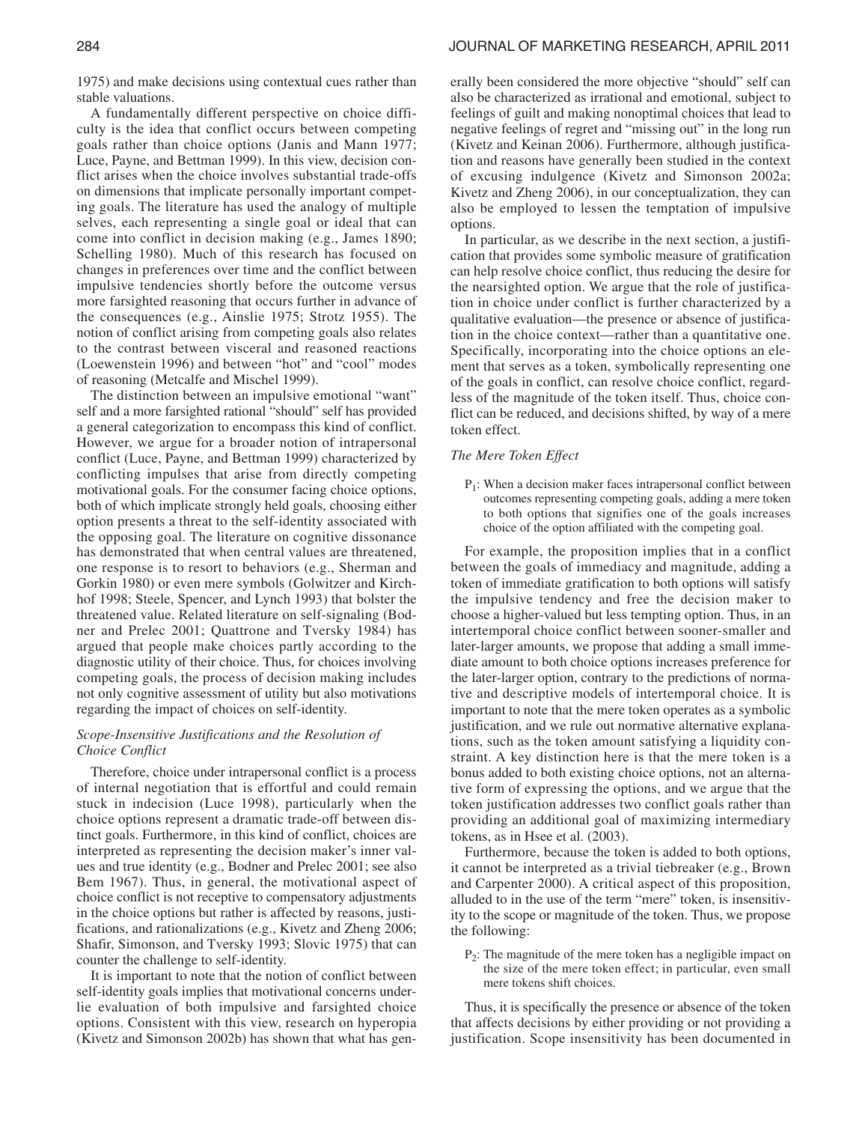1975) and make decisions using contextual cues rather than stable valuations.

A fundamentally different perspective on choice difficulty is the idea that conflict occurs between competing goals rather than choice options (Janis and Mann 1977; Luce, Payne, and Bettman 1999). In this view, decision conflict arises when the choice involves substantial trade-offs on dimensions that implicate personally important competing goals. The literature has used the analogy of multiple selves, each representing a single goal or ideal that can come into conflict in decision making (e.g., James 1890; Schelling 1980). Much of this research has focused on changes in preferences over time and the conflict between impulsive tendencies shortly before the outcome versus more farsighted reasoning that occurs further in advance of the consequences (e.g., Ainslie 1975; Strotz 1955). The notion of conflict arising from competing goals also relates to the contrast between visceral and reasoned reactions (Loewenstein 1996) and between "hot" and "cool" modes of reasoning (Metcalfe and Mischel 1999).

The distinction between an impulsive emotional "want" self and a more farsighted rational "should" self has provided a general categorization to encompass this kind of conflict. However, we argue for a broader notion of intrapersonal conflict (Luce, Payne, and Bettman 1999) characterized by conflicting impulses that arise from directly competing motivational goals. For the consumer facing choice options, both of which implicate strongly held goals, choosing either option presents a threat to the self-identity associated with the opposing goal. The literature on cognitive dissonance has demonstrated that when central values are threatened, one response is to resort to behaviors (e.g., Sherman and Gorkin 1980) or even mere symbols (Golwitzer and Kirchhof 1998; Steele, Spencer, and Lynch 1993) that bolster the threatened value. Related literature on self-signaling (Bodner and Prelec 2001; Quattrone and Tversky 1984) has argued that people make choices partly according to the diagnostic utility of their choice. Thus, for choices involving competing goals, the process of decision making includes not only cognitive assessment of utility but also motivations regarding the impact of choices on self-identity.

# *Scope-Insensitive Justifications and the Resolution of Choice Conflict*

Therefore, choice under intrapersonal conflict is a process of internal negotiation that is effortful and could remain stuck in indecision (Luce 1998), particularly when the choice options represent a dramatic trade-off between distinct goals. Furthermore, in this kind of conflict, choices are interpreted as representing the decision maker's inner values and true identity (e.g., Bodner and Prelec 2001; see also Bem 1967). Thus, in general, the motivational aspect of choice conflict is not receptive to compensatory adjustments in the choice options but rather is affected by reasons, justifications, and rationalizations (e.g., Kivetz and Zheng 2006; Shafir, Simonson, and Tversky 1993; Slovic 1975) that can counter the challenge to self-identity.

It is important to note that the notion of conflict between self-identity goals implies that motivational concerns underlie evaluation of both impulsive and farsighted choice options. Consistent with this view, research on hyperopia (Kivetz and Simonson 2002b) has shown that what has generally been considered the more objective "should" self can also be characterized as irrational and emotional, subject to feelings of guilt and making nonoptimal choices that lead to negative feelings of regret and "missing out" in the long run (Kivetz and Keinan 2006). Furthermore, although justification and reasons have generally been studied in the context of excusing indulgence (Kivetz and Simonson 2002a; Kivetz and Zheng 2006), in our conceptualization, they can also be employed to lessen the temptation of impulsive options.

In particular, as we describe in the next section, a justification that provides some symbolic measure of gratification can help resolve choice conflict, thus reducing the desire for the nearsighted option. We argue that the role of justification in choice under conflict is further characterized by a qualitative evaluation—the presence or absence of justification in the choice context—rather than a quantitative one. Specifically, incorporating into the choice options an element that serves as a token, symbolically representing one of the goals in conflict, can resolve choice conflict, regardless of the magnitude of the token itself. Thus, choice conflict can be reduced, and decisions shifted, by way of a mere token effect.

#### *The Mere Token Effect*

 $P_1$ : When a decision maker faces intrapersonal conflict between outcomes representing competing goals, adding a mere token to both options that signifies one of the goals increases choice of the option affiliated with the competing goal.

For example, the proposition implies that in a conflict between the goals of immediacy and magnitude, adding a token of immediate gratification to both options will satisfy the impulsive tendency and free the decision maker to choose a higher-valued but less tempting option. Thus, in an intertemporal choice conflict between sooner-smaller and later-larger amounts, we propose that adding a small immediate amount to both choice options increases preference for the later-larger option, contrary to the predictions of normative and descriptive models of intertemporal choice. It is important to note that the mere token operates as a symbolic justification, and we rule out normative alternative explanations, such as the token amount satisfying a liquidity constraint. A key distinction here is that the mere token is a bonus added to both existing choice options, not an alternative form of expressing the options, and we argue that the token justification addresses two conflict goals rather than providing an additional goal of maximizing intermediary tokens, as in Hsee et al. (2003).

Furthermore, because the token is added to both options, it cannot be interpreted as a trivial tiebreaker (e.g., Brown and Carpenter 2000). A critical aspect of this proposition, alluded to in the use of the term "mere" token, is insensitivity to the scope or magnitude of the token. Thus, we propose the following:

 $P_2$ : The magnitude of the mere token has a negligible impact on the size of the mere token effect; in particular, even small mere tokens shift choices.

Thus, it is specifically the presence or absence of the token that affects decisions by either providing or not providing a justification. Scope insensitivity has been documented in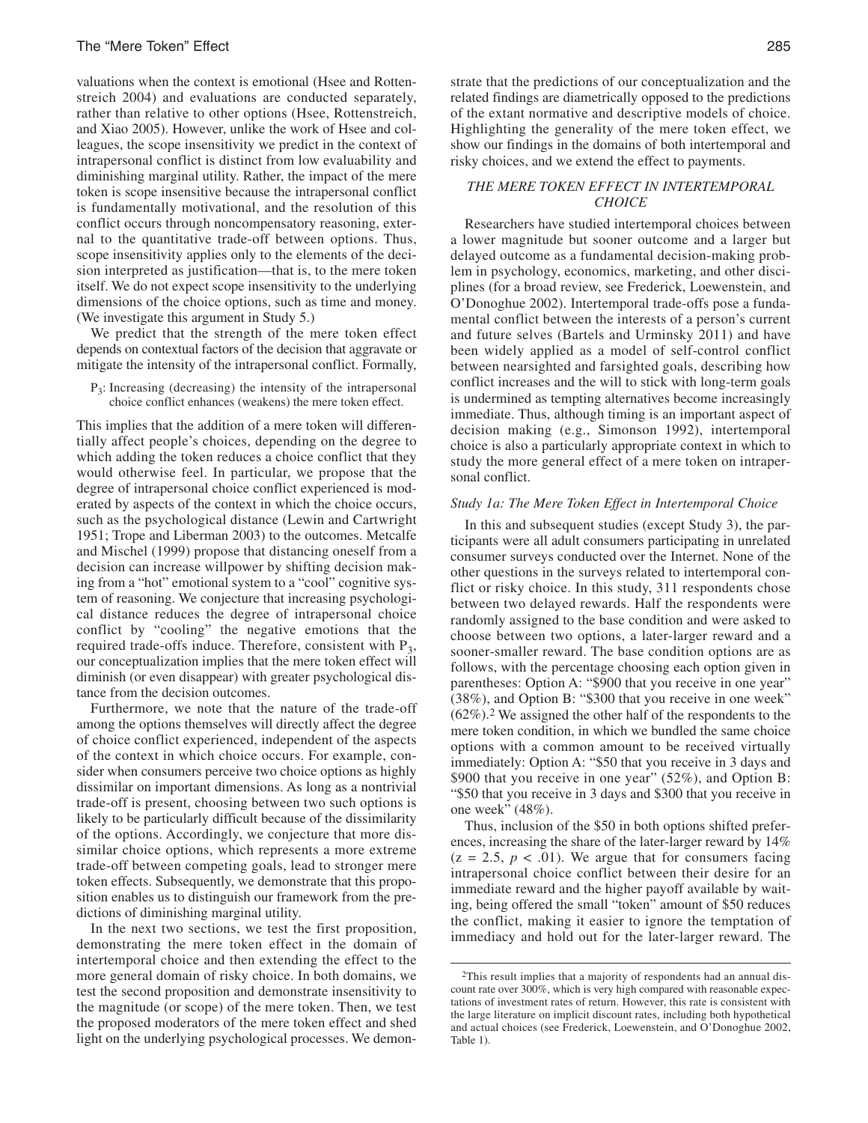valuations when the context is emotional (Hsee and Rottenstreich 2004) and evaluations are conducted separately, rather than relative to other options (Hsee, Rottenstreich, and Xiao 2005). However, unlike the work of Hsee and colleagues, the scope insensitivity we predict in the context of intrapersonal conflict is distinct from low evaluability and diminishing marginal utility. Rather, the impact of the mere token is scope insensitive because the intrapersonal conflict is fundamentally motivational, and the resolution of this conflict occurs through noncompensatory reasoning, external to the quantitative trade-off between options. Thus, scope insensitivity applies only to the elements of the decision interpreted as justification—that is, to the mere token itself. We do not expect scope insensitivity to the underlying dimensions of the choice options, such as time and money. (We investigate this argument in Study 5.)

We predict that the strength of the mere token effect depends on contextual factors of the decision that aggravate or mitigate the intensity of the intrapersonal conflict. Formally,

#### $P_3$ : Increasing (decreasing) the intensity of the intrapersonal choice conflict enhances (weakens) the mere token effect.

This implies that the addition of a mere token will differentially affect people's choices, depending on the degree to which adding the token reduces a choice conflict that they would otherwise feel. In particular, we propose that the degree of intrapersonal choice conflict experienced is moderated by aspects of the context in which the choice occurs, such as the psychological distance (Lewin and Cartwright 1951; Trope and Liberman 2003) to the outcomes. Metcalfe and Mischel (1999) propose that distancing oneself from a decision can increase willpower by shifting decision making from a "hot" emotional system to a "cool" cognitive system of reasoning. We conjecture that increasing psychological distance reduces the degree of intrapersonal choice conflict by "cooling" the negative emotions that the required trade-offs induce. Therefore, consistent with  $P_3$ , our conceptualization implies that the mere token effect will diminish (or even disappear) with greater psychological distance from the decision outcomes.

Furthermore, we note that the nature of the trade-off among the options themselves will directly affect the degree of choice conflict experienced, independent of the aspects of the context in which choice occurs. For example, consider when consumers perceive two choice options as highly dissimilar on important dimensions. As long as a nontrivial trade-off is present, choosing between two such options is likely to be particularly difficult because of the dissimilarity of the options. Accordingly, we conjecture that more dissimilar choice options, which represents a more extreme trade-off between competing goals, lead to stronger mere token effects. Subsequently, we demonstrate that this proposition enables us to distinguish our framework from the predictions of diminishing marginal utility.

In the next two sections, we test the first proposition, demonstrating the mere token effect in the domain of intertemporal choice and then extending the effect to the more general domain of risky choice. In both domains, we test the second proposition and demonstrate insensitivity to the magnitude (or scope) of the mere token. Then, we test the proposed moderators of the mere token effect and shed light on the underlying psychological processes. We demonstrate that the predictions of our conceptualization and the related findings are diametrically opposed to the predictions of the extant normative and descriptive models of choice. Highlighting the generality of the mere token effect, we show our findings in the domains of both intertemporal and risky choices, and we extend the effect to payments.

# *THE MERE TOKEN EFFECT IN INTERTEMPORAL CHOICE*

Researchers have studied intertemporal choices between a lower magnitude but sooner outcome and a larger but delayed outcome as a fundamental decision-making problem in psychology, economics, marketing, and other disciplines (for a broad review, see Frederick, Loewenstein, and O'Donoghue 2002). Intertemporal trade-offs pose a fundamental conflict between the interests of a person's current and future selves (Bartels and Urminsky 2011) and have been widely applied as a model of self-control conflict between nearsighted and farsighted goals, describing how conflict increases and the will to stick with long-term goals is undermined as tempting alternatives become increasingly immediate. Thus, although timing is an important aspect of decision making (e.g., Simonson 1992), intertemporal choice is also a particularly appropriate context in which to study the more general effect of a mere token on intrapersonal conflict.

#### *Study 1a: The Mere Token Effect in Intertemporal Choice*

In this and subsequent studies (except Study 3), the participants were all adult consumers participating in unrelated consumer surveys conducted over the Internet. None of the other questions in the surveys related to intertemporal conflict or risky choice. In this study, 311 respondents chose between two delayed rewards. Half the respondents were randomly assigned to the base condition and were asked to choose between two options, a later-larger reward and a sooner-smaller reward. The base condition options are as follows, with the percentage choosing each option given in parentheses: Option A: "\$900 that you receive in one year" (38%), and Option B: "\$300 that you receive in one week"  $(62\%)$ .<sup>2</sup> We assigned the other half of the respondents to the mere token condition, in which we bundled the same choice options with a common amount to be received virtually immediately: Option A: "\$50 that you receive in 3 days and \$900 that you receive in one year" (52%), and Option B: "\$50 that you receive in 3 days and \$300 that you receive in one week" (48%).

Thus, inclusion of the \$50 in both options shifted preferences, increasing the share of the later-larger reward by 14%  $(z = 2.5, p < .01)$ . We argue that for consumers facing intrapersonal choice conflict between their desire for an immediate reward and the higher payoff available by waiting, being offered the small "token" amount of \$50 reduces the conflict, making it easier to ignore the temptation of immediacy and hold out for the later-larger reward. The

<sup>2</sup>This result implies that a majority of respondents had an annual discount rate over 300%, which is very high compared with reasonable expectations of investment rates of return. However, this rate is consistent with the large literature on implicit discount rates, including both hypothetical and actual choices (see Frederick, Loewenstein, and O'Donoghue 2002, Table 1).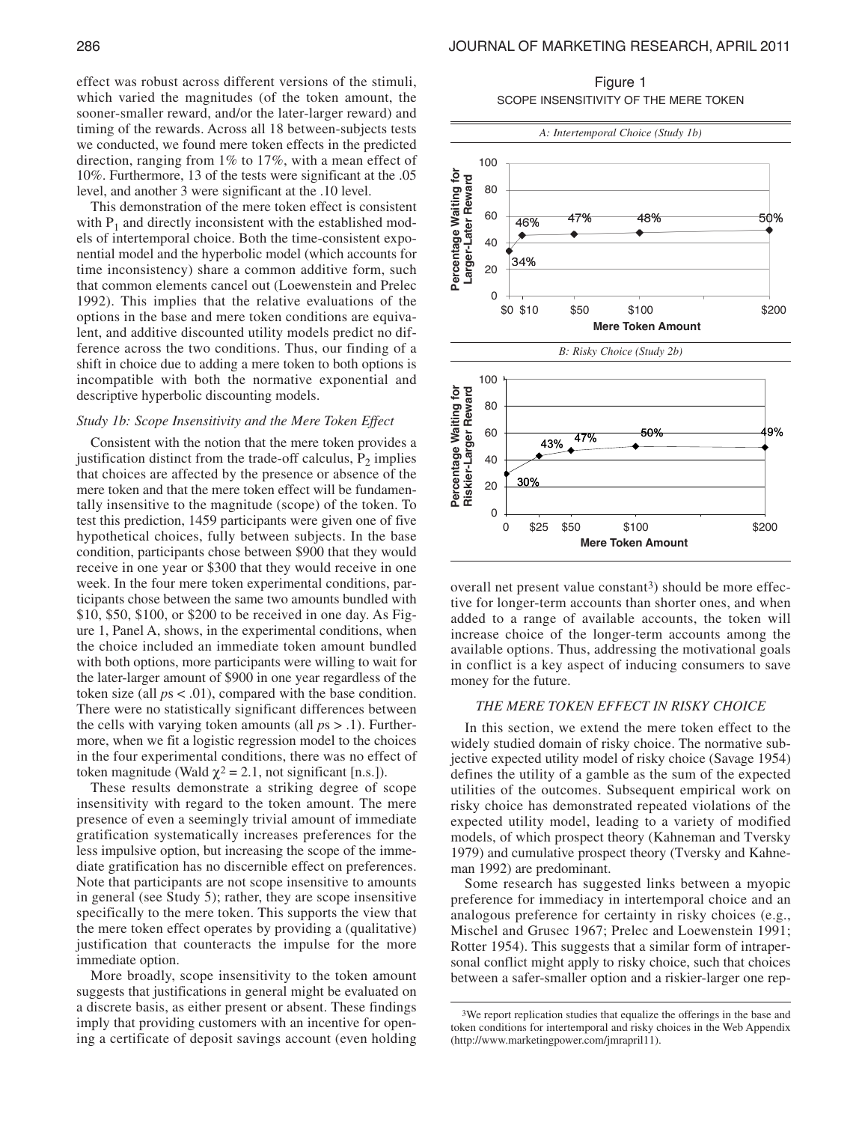effect was robust across different versions of the stimuli, which varied the magnitudes (of the token amount, the sooner-smaller reward, and/or the later-larger reward) and timing of the rewards. Across all 18 between-subjects tests we conducted, we found mere token effects in the predicted direction, ranging from 1% to 17%, with a mean effect of 10%. Furthermore, 13 of the tests were significant at the .05 level, and another 3 were significant at the .10 level.

This demonstration of the mere token effect is consistent with  $P_1$  and directly inconsistent with the established models of intertemporal choice. Both the time-consistent exponential model and the hyperbolic model (which accounts for time inconsistency) share a common additive form, such that common elements cancel out (Loewenstein and Prelec 1992). This implies that the relative evaluations of the options in the base and mere token conditions are equivalent, and additive discounted utility models predict no dif-<br> **Example 20** Mere Token Amount ference across the two conditions. Thus, our finding of a shift in choice due to adding a mere token to both options is incompatible with both the normative exponential and descriptive hyperbolic discounting models.

#### *Study 1b: Scope Insensitivity and the Mere Token Effect*

Consistent with the notion that the mere token provides a justification distinct from the trade-off calculus,  $P_2$  implies that choices are affected by the presence or absence of the mere token and that the mere token effect will be fundamentally insensitive to the magnitude (scope) of the token. To test this prediction, 1459 participants were given one of five condition, participants chose between \$900 that they would receive in one year or \$300 that they would receive in one week. In the four mere token experimental conditions, participants chose between the same two amounts bundled with \$10, \$50, \$100, or \$200 to be received in one day. As Figure 1, Panel A, shows, in the experimental conditions, when the choice included an immediate token amount bundled with both options, more participants were willing to wait for the later-larger amount of \$900 in one year regardless of the token size (all *p*s < .01), compared with the base condition. There were no statistically significant differences between the cells with varying token amounts (all *p*s > .1). Furthermore, when we fit a logistic regression model to the choices in the four experimental conditions, there was no effect of token magnitude (Wald  $\chi^2 = 2.1$ , not significant [n.s.]).

These results demonstrate a striking degree of scope insensitivity with regard to the token amount. The mere presence of even a seemingly trivial amount of immediate gratification systematically increases preferences for the less impulsive option, but increasing the scope of the immediate gratification has no discernible effect on preferences. Note that participants are not scope insensitive to amounts in general (see Study 5); rather, they are scope insensitive specifically to the mere token. This supports the view that the mere token effect operates by providing a (qualitative) justification that counteracts the impulse for the more immediate option.

More broadly, scope insensitivity to the token amount suggests that justifications in general might be evaluated on a discrete basis, as either present or absent. These findings imply that providing customers with an incentive for opening a certificate of deposit savings account (even holding

Figure 1  $SCOPE$  INSENSITIVITY OF THE MERE TOKEN



overall net present value constant<sup>3</sup>) should be more effective for longer-term accounts than shorter ones, and when added to a range of available accounts, the token will increase choice of the longer-term accounts among the available options. Thus, addressing the motivational goals in conflict is a key aspect of inducing consumers to save money for the future.

#### *THE MERE TOKEN EFFECT IN RISKY CHOICE*

In this section, we extend the mere token effect to the widely studied domain of risky choice. The normative subjective expected utility model of risky choice (Savage 1954) defines the utility of a gamble as the sum of the expected utilities of the outcomes. Subsequent empirical work on risky choice has demonstrated repeated violations of the expected utility model, leading to a variety of modified models, of which prospect theory (Kahneman and Tversky 1979) and cumulative prospect theory (Tversky and Kahneman 1992) are predominant.

Some research has suggested links between a myopic preference for immediacy in intertemporal choice and an analogous preference for certainty in risky choices (e.g., Mischel and Grusec 1967; Prelec and Loewenstein 1991; Rotter 1954). This suggests that a similar form of intrapersonal conflict might apply to risky choice, such that choices between a safer-smaller option and a riskier-larger one rep-

<sup>3</sup>We report replication studies that equalize the offerings in the base and token conditions for intertemporal and risky choices in the Web Appendix ([http://www.marketingpower.com/jmrapril11\).](http://www.marketingpower.com/jmrapril11)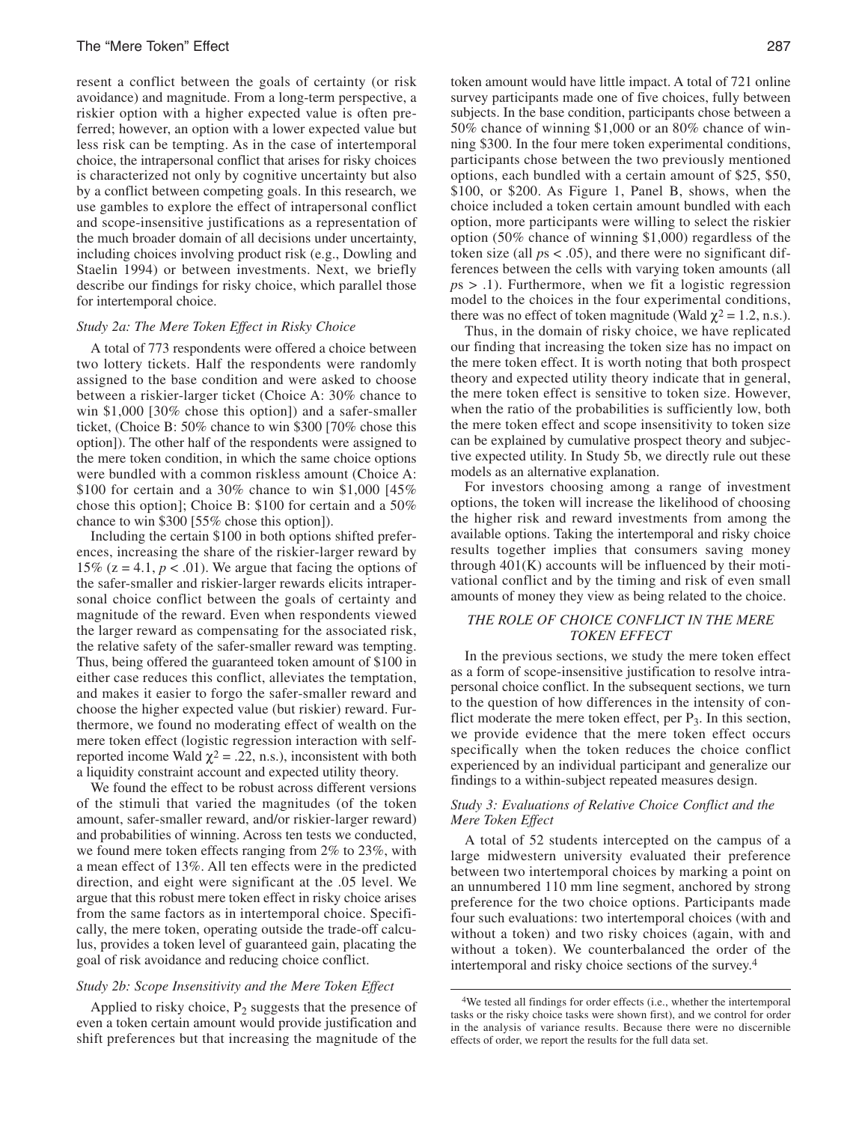resent a conflict between the goals of certainty (or risk avoidance) and magnitude. From a long-term perspective, a riskier option with a higher expected value is often preferred; however, an option with a lower expected value but less risk can be tempting. As in the case of intertemporal choice, the intrapersonal conflict that arises for risky choices is characterized not only by cognitive uncertainty but also by a conflict between competing goals. In this research, we use gambles to explore the effect of intrapersonal conflict and scope-insensitive justifications as a representation of the much broader domain of all decisions under uncertainty, including choices involving product risk (e.g., Dowling and Staelin 1994) or between investments. Next, we briefly describe our findings for risky choice, which parallel those for intertemporal choice.

### *Study 2a: The Mere Token Effect in Risky Choice*

A total of 773 respondents were offered a choice between two lottery tickets. Half the respondents were randomly assigned to the base condition and were asked to choose between a riskier-larger ticket (Choice A: 30% chance to win \$1,000 [30% chose this option]) and a safer-smaller ticket, (Choice B: 50% chance to win \$300 [70% chose this option]). The other half of the respondents were assigned to the mere token condition, in which the same choice options were bundled with a common riskless amount (Choice A: \$100 for certain and a 30% chance to win \$1,000 [45% chose this option]; Choice B: \$100 for certain and a 50% chance to win \$300 [55% chose this option]).

Including the certain \$100 in both options shifted preferences, increasing the share of the riskier-larger reward by 15% ( $z = 4.1$ ,  $p < .01$ ). We argue that facing the options of the safer-smaller and riskier-larger rewards elicits intrapersonal choice conflict between the goals of certainty and magnitude of the reward. Even when respondents viewed the larger reward as compensating for the associated risk, the relative safety of the safer-smaller reward was tempting. Thus, being offered the guaranteed token amount of \$100 in either case reduces this conflict, alleviates the temptation, and makes it easier to forgo the safer-smaller reward and choose the higher expected value (but riskier) reward. Furthermore, we found no moderating effect of wealth on the mere token effect (logistic regression interaction with selfreported income Wald  $\chi^2 = .22$ , n.s.), inconsistent with both a liquidity constraint account and expected utility theory.

We found the effect to be robust across different versions of the stimuli that varied the magnitudes (of the token amount, safer-smaller reward, and/or riskier-larger reward) and probabilities of winning. Across ten tests we conducted, we found mere token effects ranging from 2% to 23%, with a mean effect of 13%. All ten effects were in the predicted direction, and eight were significant at the .05 level. We argue that this robust mere token effect in risky choice arises from the same factors as in intertemporal choice. Specifically, the mere token, operating outside the trade-off calculus, provides a token level of guaranteed gain, placating the goal of risk avoidance and reducing choice conflict.

#### *Study 2b: Scope Insensitivity and the Mere Token Effect*

Applied to risky choice,  $P_2$  suggests that the presence of even a token certain amount would provide justification and shift preferences but that increasing the magnitude of the

token amount would have little impact. A total of 721 online survey participants made one of five choices, fully between subjects. In the base condition, participants chose between a 50% chance of winning \$1,000 or an 80% chance of winning \$300. In the four mere token experimental conditions, participants chose between the two previously mentioned options, each bundled with a certain amount of \$25, \$50, \$100, or \$200. As Figure 1, Panel B, shows, when the choice included a token certain amount bundled with each option, more participants were willing to select the riskier option (50% chance of winning \$1,000) regardless of the token size (all *p*s < .05), and there were no significant differences between the cells with varying token amounts (all  $p_s$   $>$  .1). Furthermore, when we fit a logistic regression model to the choices in the four experimental conditions, there was no effect of token magnitude (Wald  $\chi^2 = 1.2$ , n.s.).

Thus, in the domain of risky choice, we have replicated our finding that increasing the token size has no impact on the mere token effect. It is worth noting that both prospect theory and expected utility theory indicate that in general, the mere token effect is sensitive to token size. However, when the ratio of the probabilities is sufficiently low, both the mere token effect and scope insensitivity to token size can be explained by cumulative prospect theory and subjective expected utility. In Study 5b, we directly rule out these models as an alternative explanation.

For investors choosing among a range of investment options, the token will increase the likelihood of choosing the higher risk and reward investments from among the available options. Taking the intertemporal and risky choice results together implies that consumers saving money through 401(K) accounts will be influenced by their motivational conflict and by the timing and risk of even small amounts of money they view as being related to the choice.

# *THE ROLE OF CHOICE CONFLICT IN THE MERE TOKEN EFFECT*

In the previous sections, we study the mere token effect as a form of scope-insensitive justification to resolve intrapersonal choice conflict. In the subsequent sections, we turn to the question of how differences in the intensity of conflict moderate the mere token effect, per  $P_3$ . In this section, we provide evidence that the mere token effect occurs specifically when the token reduces the choice conflict experienced by an individual participant and generalize our findings to a within-subject repeated measures design.

### *Study 3: Evaluations of Relative Choice Conflict and the Mere Token Effect*

A total of 52 students intercepted on the campus of a large midwestern university evaluated their preference between two intertemporal choices by marking a point on an unnumbered 110 mm line segment, anchored by strong preference for the two choice options. Participants made four such evaluations: two intertemporal choices (with and without a token) and two risky choices (again, with and without a token). We counterbalanced the order of the intertemporal and risky choice sections of the survey.4

<sup>4</sup>We tested all findings for order effects (i.e., whether the intertemporal tasks or the risky choice tasks were shown first), and we control for order in the analysis of variance results. Because there were no discernible effects of order, we report the results for the full data set.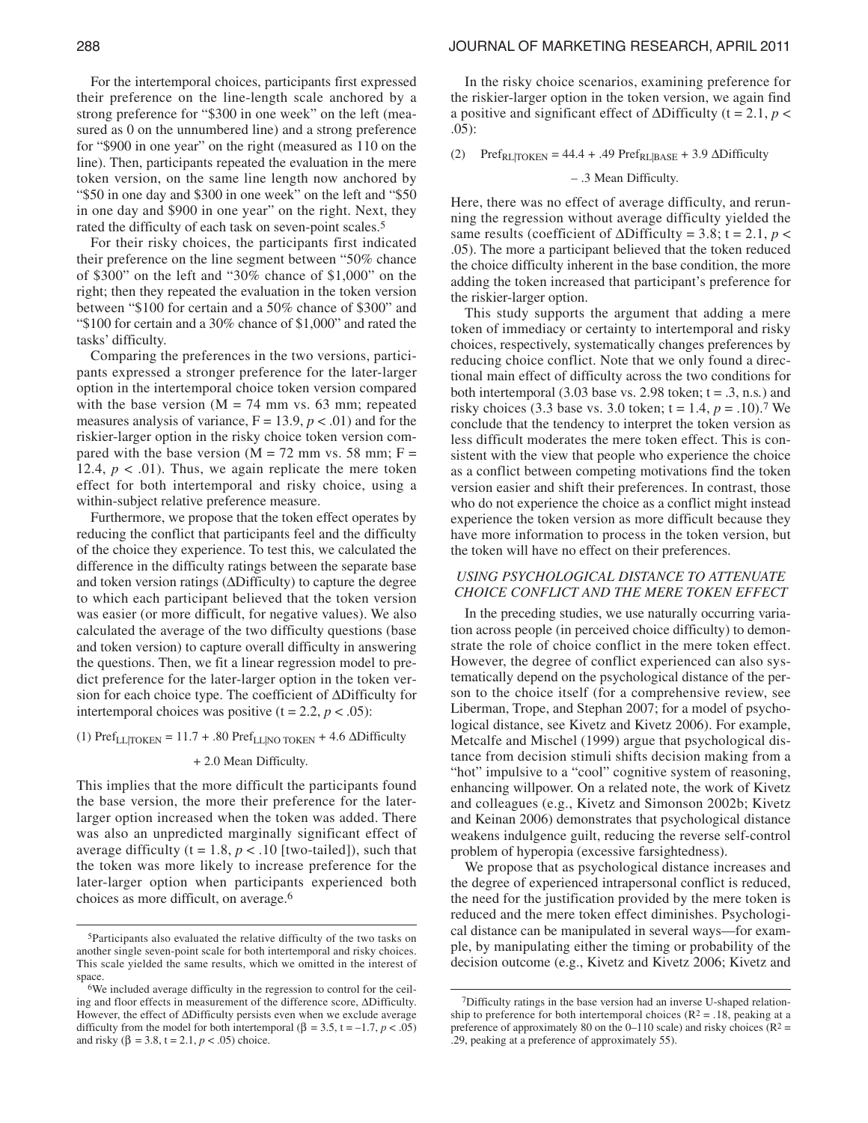For the intertemporal choices, participants first expressed their preference on the line-length scale anchored by a strong preference for "\$300 in one week" on the left (measured as 0 on the unnumbered line) and a strong preference for "\$900 in one year" on the right (measured as 110 on the line). Then, participants repeated the evaluation in the mere token version, on the same line length now anchored by "\$50 in one day and \$300 in one week" on the left and "\$50 in one day and \$900 in one year" on the right. Next, they rated the difficulty of each task on seven-point scales.5

For their risky choices, the participants first indicated their preference on the line segment between "50% chance of \$300" on the left and "30% chance of \$1,000" on the right; then they repeated the evaluation in the token version between "\$100 for certain and a 50% chance of \$300" and "\$100 for certain and a 30% chance of \$1,000" and rated the tasks' difficulty.

Comparing the preferences in the two versions, participants expressed a stronger preference for the later-larger option in the intertemporal choice token version compared with the base version ( $M = 74$  mm vs. 63 mm; repeated measures analysis of variance,  $F = 13.9, p < .01$ ) and for the riskier-larger option in the risky choice token version compared with the base version ( $M = 72$  mm vs. 58 mm;  $F =$ 12.4,  $p < .01$ ). Thus, we again replicate the mere token effect for both intertemporal and risky choice, using a within-subject relative preference measure.

Furthermore, we propose that the token effect operates by reducing the conflict that participants feel and the difficulty of the choice they experience. To test this, we calculated the difference in the difficulty ratings between the separate base and token version ratings  $(\Delta$ Difficulty) to capture the degree to which each participant believed that the token version was easier (or more difficult, for negative values). We also calculated the average of the two difficulty questions (base and token version) to capture overall difficulty in answering the questions. Then, we fit a linear regression model to predict preference for the later-larger option in the token version for each choice type. The coefficient of  $\Delta$ Difficulty for intertemporal choices was positive  $(t = 2.2, p < .05)$ :

(1)  $\text{Pref}_{\text{LL}|\text{TOKEN}} = 11.7 + .80 \text{ Pref}_{\text{LL}|\text{NO} \text{ TOKEN}} + 4.6 \Delta \text{Difficulty}$ 

#### + 2.0 Mean Difficulty.

This implies that the more difficult the participants found the base version, the more their preference for the laterlarger option increased when the token was added. There was also an unpredicted marginally significant effect of average difficulty ( $t = 1.8$ ,  $p < .10$  [two-tailed]), such that the token was more likely to increase preference for the later-larger option when participants experienced both choices as more difficult, on average.6

In the risky choice scenarios, examining preference for the riskier-larger option in the token version, we again find a positive and significant effect of  $\Delta$ Difficulty (t = 2.1, *p* < .05):

(2) Pref<sub>RL|TOKEN</sub> = 44.4 + .49 Pref<sub>RL|BASE</sub> + 3.9  $\Delta$ Difficulty

#### – .3 Mean Difficulty.

Here, there was no effect of average difficulty, and rerunning the regression without average difficulty yielded the same results (coefficient of  $\Delta$ Difficulty = 3.8; t = 2.1, *p* < .05). The more a participant believed that the token reduced the choice difficulty inherent in the base condition, the more adding the token increased that participant's preference for the riskier-larger option.

This study supports the argument that adding a mere token of immediacy or certainty to intertemporal and risky choices, respectively, systematically changes preferences by reducing choice conflict. Note that we only found a directional main effect of difficulty across the two conditions for both intertemporal  $(3.03$  base vs. 2.98 token;  $t = .3$ , n.s.) and risky choices (3.3 base vs. 3.0 token;  $t = 1.4$ ,  $p = .10$ ).<sup>7</sup> We conclude that the tendency to interpret the token version as less difficult moderates the mere token effect. This is consistent with the view that people who experience the choice as a conflict between competing motivations find the token version easier and shift their preferences. In contrast, those who do not experience the choice as a conflict might instead experience the token version as more difficult because they have more information to process in the token version, but the token will have no effect on their preferences.

### *USING PSYCHOLOGICAL DISTANCE TO ATTENUATE CHOICE CONFLICT AND THE MERE TOKEN EFFECT*

In the preceding studies, we use naturally occurring variation across people (in perceived choice difficulty) to demonstrate the role of choice conflict in the mere token effect. However, the degree of conflict experienced can also systematically depend on the psychological distance of the person to the choice itself (for a comprehensive review, see Liberman, Trope, and Stephan 2007; for a model of psychological distance, see Kivetz and Kivetz 2006). For example, Metcalfe and Mischel (1999) argue that psychological distance from decision stimuli shifts decision making from a "hot" impulsive to a "cool" cognitive system of reasoning, enhancing willpower. On a related note, the work of Kivetz and colleagues (e.g., Kivetz and Simonson 2002b; Kivetz and Keinan 2006) demonstrates that psychological distance weakens indulgence guilt, reducing the reverse self-control problem of hyperopia (excessive farsightedness).

We propose that as psychological distance increases and the degree of experienced intrapersonal conflict is reduced, the need for the justification provided by the mere token is reduced and the mere token effect diminishes. Psychological distance can be manipulated in several ways—for example, by manipulating either the timing or probability of the decision outcome (e.g., Kivetz and Kivetz 2006; Kivetz and

<sup>5</sup>Participants also evaluated the relative difficulty of the two tasks on another single seven-point scale for both intertemporal and risky choices. This scale yielded the same results, which we omitted in the interest of space.

<sup>6</sup>We included average difficulty in the regression to control for the ceiling and floor effects in measurement of the difference score,  $\Delta$ Difficulty. However, the effect of  $\Delta$ Difficulty persists even when we exclude average difficulty from the model for both intertemporal ( $\beta = 3.5$ , t = -1.7,  $p < .05$ ) and risky ( $\beta = 3.8$ , t = 2.1,  $p < .05$ ) choice.

<sup>7</sup>Difficulty ratings in the base version had an inverse U-shaped relationship to preference for both intertemporal choices ( $R^2 = .18$ , peaking at a preference of approximately 80 on the 0–110 scale) and risky choices ( $R^2$  = .29, peaking at a preference of approximately 55).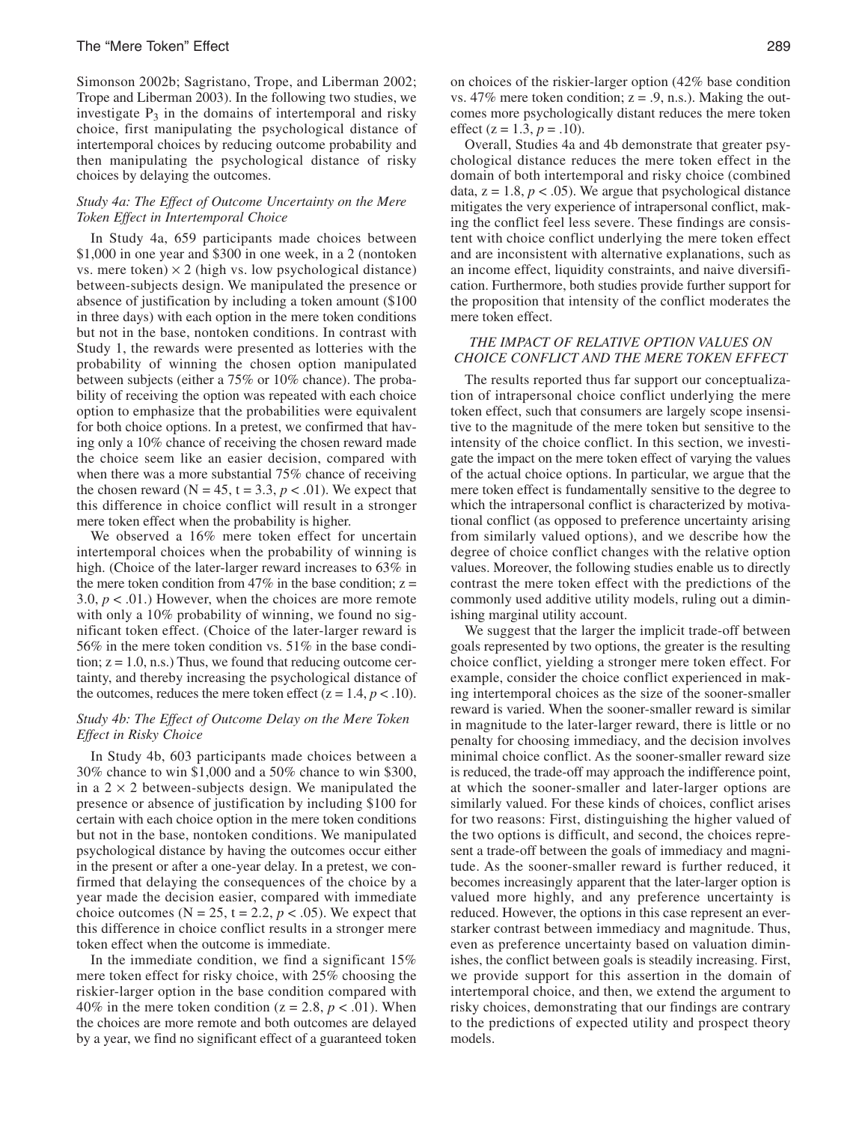Simonson 2002b; Sagristano, Trope, and Liberman 2002; Trope and Liberman 2003). In the following two studies, we investigate  $P_3$  in the domains of intertemporal and risky choice, first manipulating the psychological distance of intertemporal choices by reducing outcome probability and then manipulating the psychological distance of risky choices by delaying the outcomes.

#### *Study 4a: The Effect of Outcome Uncertainty on the Mere Token Effect in Intertemporal Choice*

In Study 4a, 659 participants made choices between \$1,000 in one year and \$300 in one week, in a 2 (nontoken vs. mere token)  $\times$  2 (high vs. low psychological distance) between-subjects design. We manipulated the presence or absence of justification by including a token amount (\$100 in three days) with each option in the mere token conditions but not in the base, nontoken conditions. In contrast with Study 1, the rewards were presented as lotteries with the probability of winning the chosen option manipulated between subjects (either a 75% or 10% chance). The probability of receiving the option was repeated with each choice option to emphasize that the probabilities were equivalent for both choice options. In a pretest, we confirmed that having only a 10% chance of receiving the chosen reward made the choice seem like an easier decision, compared with when there was a more substantial 75% chance of receiving the chosen reward ( $N = 45$ ,  $t = 3.3$ ,  $p < .01$ ). We expect that this difference in choice conflict will result in a stronger mere token effect when the probability is higher.

We observed a 16% mere token effect for uncertain intertemporal choices when the probability of winning is high. (Choice of the later-larger reward increases to 63% in the mere token condition from 47% in the base condition;  $z =$ 3.0,  $p < .01$ .) However, when the choices are more remote with only a 10% probability of winning, we found no significant token effect. (Choice of the later-larger reward is 56% in the mere token condition vs. 51% in the base condition;  $z = 1.0$ , n.s.) Thus, we found that reducing outcome certainty, and thereby increasing the psychological distance of the outcomes, reduces the mere token effect  $(z = 1.4, p < .10)$ .

### *Study 4b: The Effect of Outcome Delay on the Mere Token Effect in Risky Choice*

In Study 4b, 603 participants made choices between a 30% chance to win \$1,000 and a 50% chance to win \$300, in a  $2 \times 2$  between-subjects design. We manipulated the presence or absence of justification by including \$100 for certain with each choice option in the mere token conditions but not in the base, nontoken conditions. We manipulated psychological distance by having the outcomes occur either in the present or after a one-year delay. In a pretest, we confirmed that delaying the consequences of the choice by a year made the decision easier, compared with immediate choice outcomes ( $N = 25$ ,  $t = 2.2$ ,  $p < .05$ ). We expect that this difference in choice conflict results in a stronger mere token effect when the outcome is immediate.

In the immediate condition, we find a significant 15% mere token effect for risky choice, with 25% choosing the riskier-larger option in the base condition compared with 40% in the mere token condition  $(z = 2.8, p < .01)$ . When the choices are more remote and both outcomes are delayed by a year, we find no significant effect of a guaranteed token

on choices of the riskier-larger option (42% base condition vs. 47% mere token condition;  $z = .9$ , n.s.). Making the outcomes more psychologically distant reduces the mere token effect ( $z = 1.3$ ,  $p = .10$ ).

Overall, Studies 4a and 4b demonstrate that greater psychological distance reduces the mere token effect in the domain of both intertemporal and risky choice (combined data,  $z = 1.8$ ,  $p < .05$ ). We argue that psychological distance mitigates the very experience of intrapersonal conflict, making the conflict feel less severe. These findings are consistent with choice conflict underlying the mere token effect and are inconsistent with alternative explanations, such as an income effect, liquidity constraints, and naive diversification. Furthermore, both studies provide further support for the proposition that intensity of the conflict moderates the mere token effect.

# *THE IMPACT OF RELATIVE OPTION VALUES ON CHOICE CONFLICT AND THE MERE TOKEN EFFECT*

The results reported thus far support our conceptualization of intrapersonal choice conflict underlying the mere token effect, such that consumers are largely scope insensitive to the magnitude of the mere token but sensitive to the intensity of the choice conflict. In this section, we investigate the impact on the mere token effect of varying the values of the actual choice options. In particular, we argue that the mere token effect is fundamentally sensitive to the degree to which the intrapersonal conflict is characterized by motivational conflict (as opposed to preference uncertainty arising from similarly valued options), and we describe how the degree of choice conflict changes with the relative option values. Moreover, the following studies enable us to directly contrast the mere token effect with the predictions of the commonly used additive utility models, ruling out a diminishing marginal utility account.

We suggest that the larger the implicit trade-off between goals represented by two options, the greater is the resulting choice conflict, yielding a stronger mere token effect. For example, consider the choice conflict experienced in making intertemporal choices as the size of the sooner-smaller reward is varied. When the sooner-smaller reward is similar in magnitude to the later-larger reward, there is little or no penalty for choosing immediacy, and the decision involves minimal choice conflict. As the sooner-smaller reward size is reduced, the trade-off may approach the indifference point, at which the sooner-smaller and later-larger options are similarly valued. For these kinds of choices, conflict arises for two reasons: First, distinguishing the higher valued of the two options is difficult, and second, the choices represent a trade-off between the goals of immediacy and magnitude. As the sooner-smaller reward is further reduced, it becomes increasingly apparent that the later-larger option is valued more highly, and any preference uncertainty is reduced. However, the options in this case represent an everstarker contrast between immediacy and magnitude. Thus, even as preference uncertainty based on valuation diminishes, the conflict between goals is steadily increasing. First, we provide support for this assertion in the domain of intertemporal choice, and then, we extend the argument to risky choices, demonstrating that our findings are contrary to the predictions of expected utility and prospect theory models.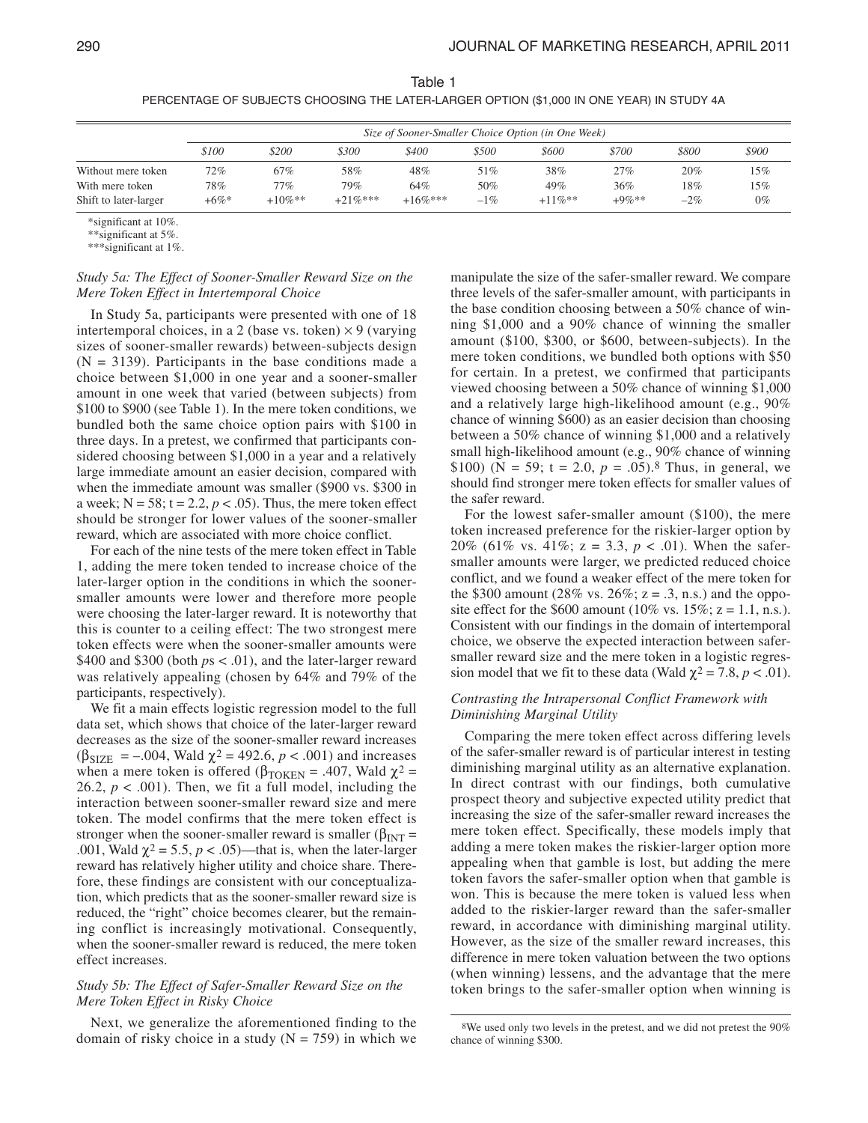Table 1 percentage Of sUBJects chOOsing the later-larger OptiOn (\$1,000 in One year) in stUDy 4a

|                       | Size of Sooner-Smaller Choice Option (in One Week) |            |            |            |        |            |          |       |       |
|-----------------------|----------------------------------------------------|------------|------------|------------|--------|------------|----------|-------|-------|
|                       | \$100                                              | \$200      | \$300      | \$400      | \$500  | \$600      | \$700    | \$800 | \$900 |
| Without mere token    | 72%                                                | 67%        | 58%        | 48%        | 51%    | 38%        | 27%      | 20%   | 15%   |
| With mere token       | 78%                                                | 77%        | 79%        | 64%        | 50%    | 49%        | 36%      | 18%   | 15%   |
| Shift to later-larger | $+6\%$ *                                           | $+10\%$ ** | $+21\%***$ | $+16\%***$ | $-1\%$ | $+11\%$ ** | $+9\%**$ | $-2%$ | $0\%$ |

\*significant at 10%.

\*\*significant at 5%.

\*\*\*significant at 1%.

# *Study 5a: The Effect of Sooner-Smaller Reward Size on the Mere Token Effect in Intertemporal Choice*

In Study 5a, participants were presented with one of 18 intertemporal choices, in a 2 (base vs. token)  $\times$  9 (varying sizes of sooner-smaller rewards) between-subjects design  $(N = 3139)$ . Participants in the base conditions made a choice between \$1,000 in one year and a sooner-smaller amount in one week that varied (between subjects) from \$100 to \$900 (see Table 1). In the mere token conditions, we bundled both the same choice option pairs with \$100 in three days. In a pretest, we confirmed that participants considered choosing between \$1,000 in a year and a relatively large immediate amount an easier decision, compared with when the immediate amount was smaller (\$900 vs. \$300 in a week;  $N = 58$ ;  $t = 2.2$ ,  $p < .05$ ). Thus, the mere token effect should be stronger for lower values of the sooner-smaller reward, which are associated with more choice conflict.

For each of the nine tests of the mere token effect in Table 1, adding the mere token tended to increase choice of the later-larger option in the conditions in which the soonersmaller amounts were lower and therefore more people were choosing the later-larger reward. It is noteworthy that this is counter to a ceiling effect: The two strongest mere token effects were when the sooner-smaller amounts were \$400 and \$300 (both  $ps < .01$ ), and the later-larger reward was relatively appealing (chosen by 64% and 79% of the participants, respectively).

We fit a main effects logistic regression model to the full data set, which shows that choice of the later-larger reward decreases as the size of the sooner-smaller reward increases  $(\beta_{\text{SIZE}} = -.004, \text{Wald } \chi^2 = 492.6, p < .001)$  and increases when a mere token is offered ( $\beta_{\text{TOKEN}}$  = .407, Wald  $\chi^2$  = 26.2,  $p < .001$ ). Then, we fit a full model, including the interaction between sooner-smaller reward size and mere token. The model confirms that the mere token effect is stronger when the sooner-smaller reward is smaller ( $\beta_{\text{INT}}$  = .001, Wald  $\chi^2$  = 5.5, *p* < .05)—that is, when the later-larger reward has relatively higher utility and choice share. Therefore, these findings are consistent with our conceptualization, which predicts that as the sooner-smaller reward size is reduced, the "right" choice becomes clearer, but the remaining conflict is increasingly motivational. Consequently, when the sooner-smaller reward is reduced, the mere token effect increases.

#### *Study 5b: The Effect of Safer-Smaller Reward Size on the Mere Token Effect in Risky Choice*

Next, we generalize the aforementioned finding to the domain of risky choice in a study  $(N = 759)$  in which we manipulate the size of the safer-smaller reward. We compare three levels of the safer-smaller amount, with participants in the base condition choosing between a 50% chance of winning \$1,000 and a 90% chance of winning the smaller amount (\$100, \$300, or \$600, between-subjects). In the mere token conditions, we bundled both options with \$50 for certain. In a pretest, we confirmed that participants viewed choosing between a 50% chance of winning \$1,000 and a relatively large high-likelihood amount (e.g., 90% chance of winning \$600) as an easier decision than choosing between a 50% chance of winning \$1,000 and a relatively small high-likelihood amount (e.g., 90% chance of winning \$100) (N = 59; t = 2.0,  $p = .05$ ).<sup>8</sup> Thus, in general, we should find stronger mere token effects for smaller values of the safer reward.

For the lowest safer-smaller amount (\$100), the mere token increased preference for the riskier-larger option by 20% (61% vs. 41%;  $z = 3.3$ ,  $p < .01$ ). When the safersmaller amounts were larger, we predicted reduced choice conflict, and we found a weaker effect of the mere token for the \$300 amount (28% vs. 26%;  $z = .3$ , n.s.) and the opposite effect for the \$600 amount  $(10\% \text{ vs. } 15\%; z = 1.1, n.s.).$ Consistent with our findings in the domain of intertemporal choice, we observe the expected interaction between safersmaller reward size and the mere token in a logistic regression model that we fit to these data (Wald  $\chi^2 = 7.8$ ,  $p < .01$ ).

#### *Contrasting the Intrapersonal Conflict Framework with Diminishing Marginal Utility*

Comparing the mere token effect across differing levels of the safer-smaller reward is of particular interest in testing diminishing marginal utility as an alternative explanation. In direct contrast with our findings, both cumulative prospect theory and subjective expected utility predict that increasing the size of the safer-smaller reward increases the mere token effect. Specifically, these models imply that adding a mere token makes the riskier-larger option more appealing when that gamble is lost, but adding the mere token favors the safer-smaller option when that gamble is won. This is because the mere token is valued less when added to the riskier-larger reward than the safer-smaller reward, in accordance with diminishing marginal utility. However, as the size of the smaller reward increases, this difference in mere token valuation between the two options (when winning) lessens, and the advantage that the mere token brings to the safer-smaller option when winning is

<sup>8</sup>We used only two levels in the pretest, and we did not pretest the 90% chance of winning \$300.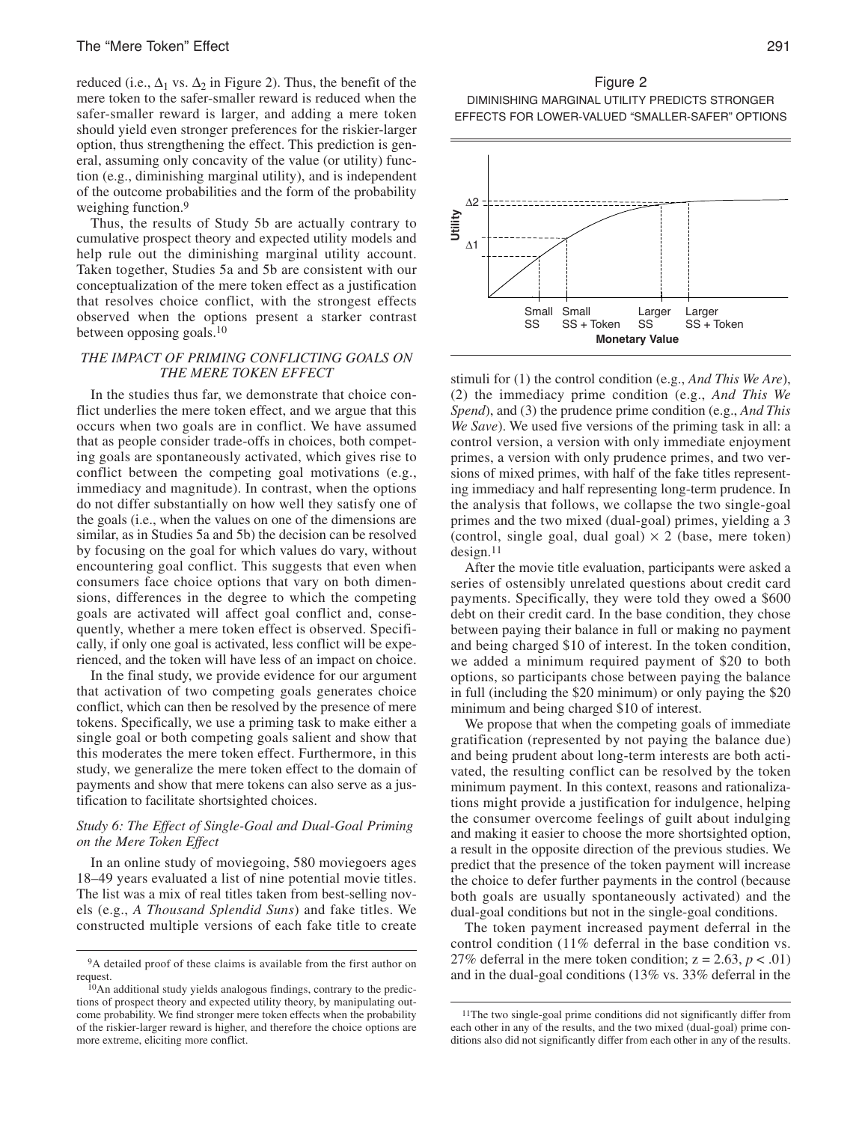reduced (i.e.,  $\Delta_1$  vs.  $\Delta_2$  in Figure 2). Thus, the benefit of the mere token to the safer-smaller reward is reduced when the safer-smaller reward is larger, and adding a mere token should yield even stronger preferences for the riskier-larger option, thus strengthening the effect. This prediction is general, assuming only concavity of the value (or utility) function (e.g., diminishing marginal utility), and is independent of the outcome probabilities and the form of the probability weighing function.<sup>9</sup>

Thus, the results of Study 5b are actually contrary to cumulative prospect theory and expected utility models and help rule out the diminishing marginal utility account. Taken together, Studies 5a and 5b are consistent with our conceptualization of the mere token effect as a justification that resolves choice conflict, with the strongest effects observed when the options present a starker contrast between opposing goals.10

# *THE IMPACT OF PRIMING CONFLICTING GOALS ON THE MERE TOKEN EFFECT*

In the studies thus far, we demonstrate that choice conflict underlies the mere token effect, and we argue that this occurs when two goals are in conflict. We have assumed that as people consider trade-offs in choices, both competing goals are spontaneously activated, which gives rise to conflict between the competing goal motivations (e.g., immediacy and magnitude). In contrast, when the options do not differ substantially on how well they satisfy one of the goals (i.e., when the values on one of the dimensions are similar, as in Studies 5a and 5b) the decision can be resolved by focusing on the goal for which values do vary, without encountering goal conflict. This suggests that even when consumers face choice options that vary on both dimensions, differences in the degree to which the competing goals are activated will affect goal conflict and, consequently, whether a mere token effect is observed. Specifically, if only one goal is activated, less conflict will be experienced, and the token will have less of an impact on choice.

In the final study, we provide evidence for our argument that activation of two competing goals generates choice conflict, which can then be resolved by the presence of mere tokens. Specifically, we use a priming task to make either a single goal or both competing goals salient and show that this moderates the mere token effect. Furthermore, in this study, we generalize the mere token effect to the domain of payments and show that mere tokens can also serve as a justification to facilitate shortsighted choices.

### *Study 6: The Effect of Single-Goal and Dual-Goal Priming on the Mere Token Effect*

In an online study of moviegoing, 580 moviegoers ages 18–49 years evaluated a list of nine potential movie titles. The list was a mix of real titles taken from best-selling novels (e.g., *A Thousand Splendid Suns*) and fake titles. We constructed multiple versions of each fake title to create

Figure 2 DIMINISHING MARGINAL UTILITY PREDICTS STRONGER effects fOr lOWer-valUeD "smaller-safer" OptiOns



stimuli for (1) the control condition (e.g., *And This We Are*), (2) the immediacy prime condition (e.g., *And This We Spend*), and (3) the prudence prime condition (e.g., *And This We Save*). We used five versions of the priming task in all: a control version, a version with only immediate enjoyment primes, a version with only prudence primes, and two versions of mixed primes, with half of the fake titles representing immediacy and half representing long-term prudence. In the analysis that follows, we collapse the two single-goal primes and the two mixed (dual-goal) primes, yielding a 3 (control, single goal, dual goal)  $\times$  2 (base, mere token) design.11

After the movie title evaluation, participants were asked a series of ostensibly unrelated questions about credit card payments. Specifically, they were told they owed a \$600 debt on their credit card. In the base condition, they chose between paying their balance in full or making no payment and being charged \$10 of interest. In the token condition, we added a minimum required payment of \$20 to both options, so participants chose between paying the balance in full (including the \$20 minimum) or only paying the \$20 minimum and being charged \$10 of interest.

We propose that when the competing goals of immediate gratification (represented by not paying the balance due) and being prudent about long-term interests are both activated, the resulting conflict can be resolved by the token minimum payment. In this context, reasons and rationalizations might provide a justification for indulgence, helping the consumer overcome feelings of guilt about indulging and making it easier to choose the more shortsighted option, a result in the opposite direction of the previous studies. We predict that the presence of the token payment will increase the choice to defer further payments in the control (because both goals are usually spontaneously activated) and the dual-goal conditions but not in the single-goal conditions.

The token payment increased payment deferral in the control condition (11% deferral in the base condition vs. 27% deferral in the mere token condition;  $z = 2.63$ ,  $p < .01$ ) and in the dual-goal conditions (13% vs. 33% deferral in the

<sup>9</sup>A detailed proof of these claims is available from the first author on request.

<sup>10</sup>An additional study yields analogous findings, contrary to the predictions of prospect theory and expected utility theory, by manipulating outcome probability. We find stronger mere token effects when the probability of the riskier-larger reward is higher, and therefore the choice options are more extreme, eliciting more conflict.

<sup>11</sup>The two single-goal prime conditions did not significantly differ from each other in any of the results, and the two mixed (dual-goal) prime conditions also did not significantly differ from each other in any of the results.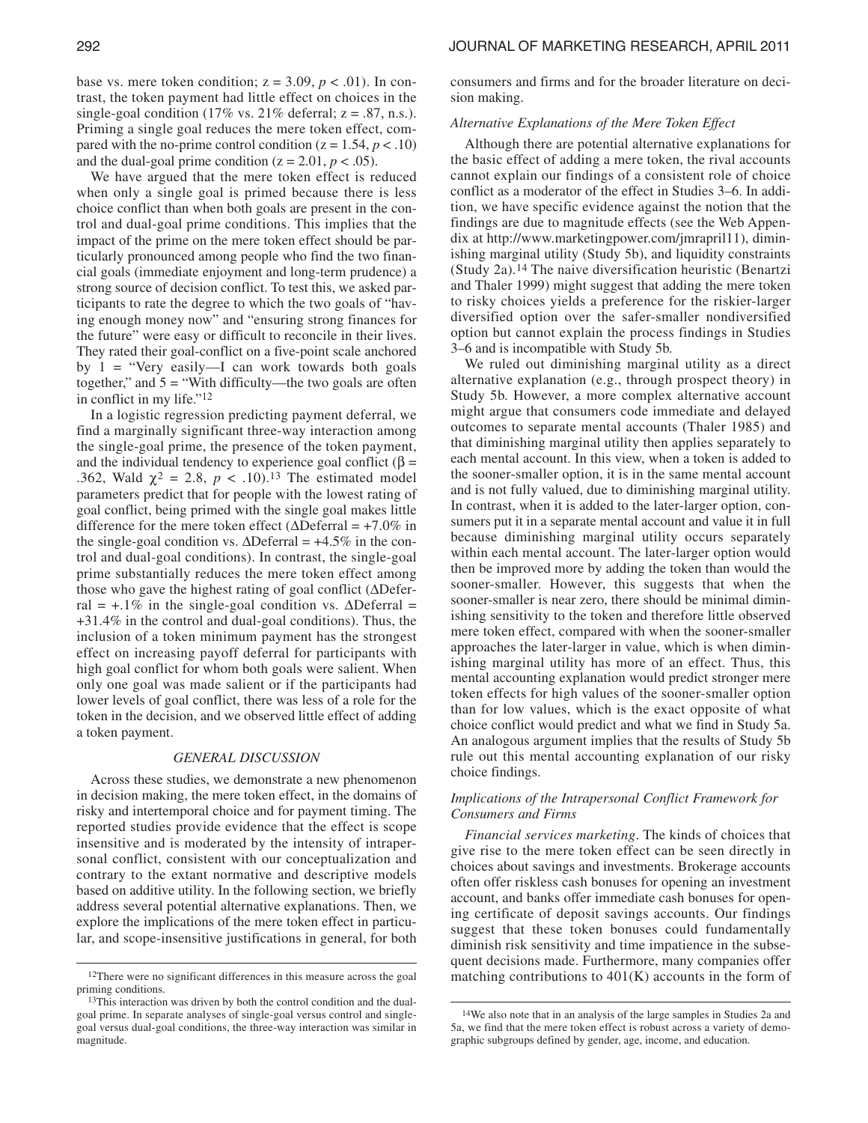base vs. mere token condition;  $z = 3.09$ ,  $p < .01$ ). In contrast, the token payment had little effect on choices in the single-goal condition (17% vs. 21% deferral;  $z = .87$ , n.s.). Priming a single goal reduces the mere token effect, compared with the no-prime control condition  $(z = 1.54, p < .10)$ and the dual-goal prime condition  $(z = 2.01, p < .05)$ .

We have argued that the mere token effect is reduced when only a single goal is primed because there is less choice conflict than when both goals are present in the control and dual-goal prime conditions. This implies that the impact of the prime on the mere token effect should be particularly pronounced among people who find the two financial goals (immediate enjoyment and long-term prudence) a strong source of decision conflict. To test this, we asked participants to rate the degree to which the two goals of "having enough money now" and "ensuring strong finances for the future" were easy or difficult to reconcile in their lives. They rated their goal-conflict on a five-point scale anchored by  $1 =$  "Very easily-I can work towards both goals together," and  $5 =$  "With difficulty—the two goals are often in conflict in my life."12

In a logistic regression predicting payment deferral, we find a marginally significant three-way interaction among the single-goal prime, the presence of the token payment, and the individual tendency to experience goal conflict ( $\beta$  = .362, Wald  $\chi^2 = 2.8$ ,  $p < .10$ .<sup>13</sup> The estimated model parameters predict that for people with the lowest rating of goal conflict, being primed with the single goal makes little difference for the mere token effect ( $\Delta$ Deferral = +7.0% in the single-goal condition vs.  $\Delta$ Deferral = +4.5% in the control and dual-goal conditions). In contrast, the single-goal prime substantially reduces the mere token effect among those who gave the highest rating of goal conflict  $(\Delta$ Deferral =  $+1\%$  in the single-goal condition vs.  $\Delta$ Deferral = +31.4% in the control and dual-goal conditions). Thus, the inclusion of a token minimum payment has the strongest effect on increasing payoff deferral for participants with high goal conflict for whom both goals were salient. When only one goal was made salient or if the participants had lower levels of goal conflict, there was less of a role for the token in the decision, and we observed little effect of adding a token payment.

#### *GENERAL DISCUSSION*

Across these studies, we demonstrate a new phenomenon in decision making, the mere token effect, in the domains of risky and intertemporal choice and for payment timing. The reported studies provide evidence that the effect is scope insensitive and is moderated by the intensity of intrapersonal conflict, consistent with our conceptualization and contrary to the extant normative and descriptive models based on additive utility. In the following section, we briefly address several potential alternative explanations. Then, we explore the implications of the mere token effect in particular, and scope-insensitive justifications in general, for both

consumers and firms and for the broader literature on decision making.

### *Alternative Explanations of the Mere Token Effect*

Although there are potential alternative explanations for the basic effect of adding a mere token, the rival accounts cannot explain our findings of a consistent role of choice conflict as a moderator of the effect in Studies 3–6. In addition, we have specific evidence against the notion that the findings are due to magnitude effects (see the Web Appendix at [http://www.marketingpower.com/jmrapril11\),](http://www.marketingpower.com/jmrapril11) diminishing marginal utility (Study 5b), and liquidity constraints (Study 2a).14 The naive diversification heuristic (Benartzi and Thaler 1999) might suggest that adding the mere token to risky choices yields a preference for the riskier-larger diversified option over the safer-smaller nondiversified option but cannot explain the process findings in Studies 3–6 and is incompatible with Study 5b.

We ruled out diminishing marginal utility as a direct alternative explanation (e.g., through prospect theory) in Study 5b. However, a more complex alternative account might argue that consumers code immediate and delayed outcomes to separate mental accounts (Thaler 1985) and that diminishing marginal utility then applies separately to each mental account. In this view, when a token is added to the sooner-smaller option, it is in the same mental account and is not fully valued, due to diminishing marginal utility. In contrast, when it is added to the later-larger option, consumers put it in a separate mental account and value it in full because diminishing marginal utility occurs separately within each mental account. The later-larger option would then be improved more by adding the token than would the sooner-smaller. However, this suggests that when the sooner-smaller is near zero, there should be minimal diminishing sensitivity to the token and therefore little observed mere token effect, compared with when the sooner-smaller approaches the later-larger in value, which is when diminishing marginal utility has more of an effect. Thus, this mental accounting explanation would predict stronger mere token effects for high values of the sooner-smaller option than for low values, which is the exact opposite of what choice conflict would predict and what we find in Study 5a. An analogous argument implies that the results of Study 5b rule out this mental accounting explanation of our risky choice findings.

#### *Implications of the Intrapersonal Conflict Framework for Consumers and Firms*

*Financial services marketing*. The kinds of choices that give rise to the mere token effect can be seen directly in choices about savings and investments. Brokerage accounts often offer riskless cash bonuses for opening an investment account, and banks offer immediate cash bonuses for opening certificate of deposit savings accounts. Our findings suggest that these token bonuses could fundamentally diminish risk sensitivity and time impatience in the subsequent decisions made. Furthermore, many companies offer matching contributions to  $401(K)$  accounts in the form of

<sup>12</sup>There were no significant differences in this measure across the goal priming conditions.

<sup>13</sup>This interaction was driven by both the control condition and the dualgoal prime. In separate analyses of single-goal versus control and singlegoal versus dual-goal conditions, the three-way interaction was similar in magnitude.

<sup>14</sup>We also note that in an analysis of the large samples in Studies 2a and 5a, we find that the mere token effect is robust across a variety of demographic subgroups defined by gender, age, income, and education.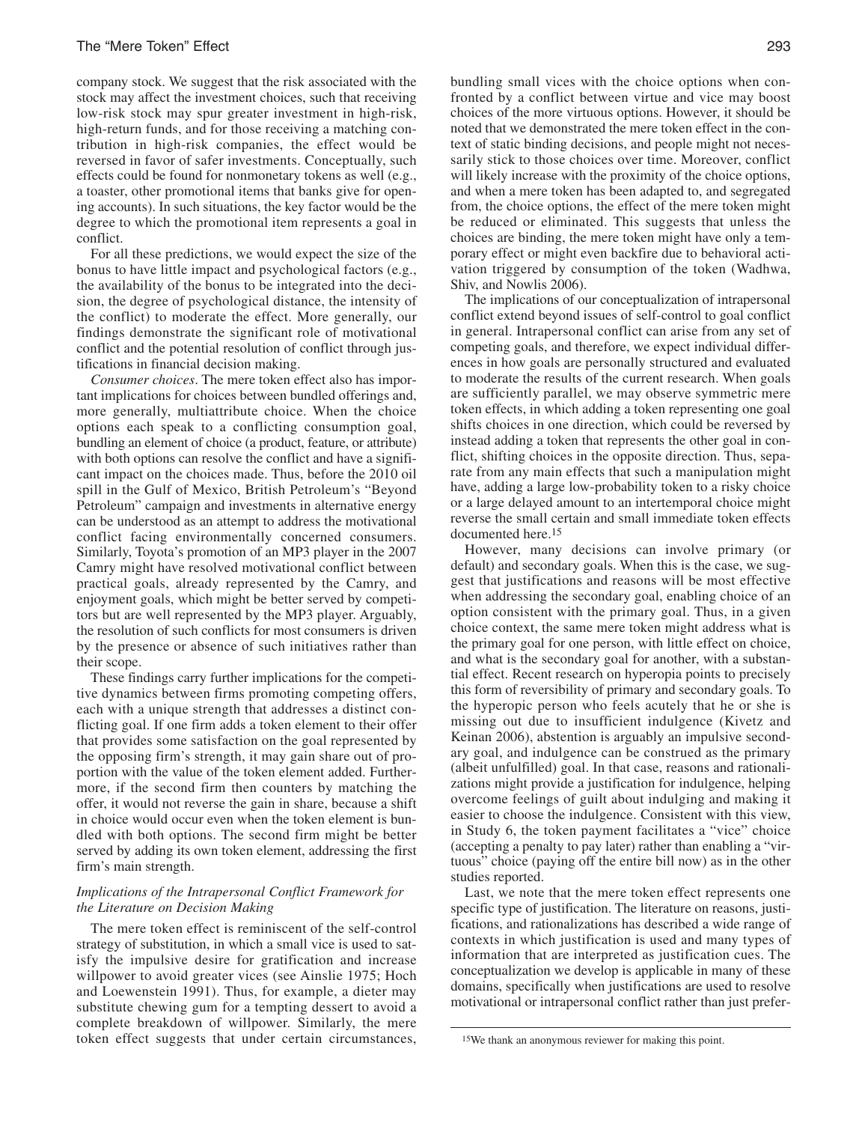company stock. We suggest that the risk associated with the stock may affect the investment choices, such that receiving low-risk stock may spur greater investment in high-risk, high-return funds, and for those receiving a matching contribution in high-risk companies, the effect would be reversed in favor of safer investments. Conceptually, such effects could be found for nonmonetary tokens as well (e.g., a toaster, other promotional items that banks give for opening accounts). In such situations, the key factor would be the degree to which the promotional item represents a goal in conflict.

For all these predictions, we would expect the size of the bonus to have little impact and psychological factors (e.g., the availability of the bonus to be integrated into the decision, the degree of psychological distance, the intensity of the conflict) to moderate the effect. More generally, our findings demonstrate the significant role of motivational conflict and the potential resolution of conflict through justifications in financial decision making.

*Consumer choices*. The mere token effect also has important implications for choices between bundled offerings and, more generally, multiattribute choice. When the choice options each speak to a conflicting consumption goal, bundling an element of choice (a product, feature, or attribute) with both options can resolve the conflict and have a significant impact on the choices made. Thus, before the 2010 oil spill in the Gulf of Mexico, British Petroleum's "Beyond Petroleum" campaign and investments in alternative energy can be understood as an attempt to address the motivational conflict facing environmentally concerned consumers. Similarly, Toyota's promotion of an MP3 player in the 2007 Camry might have resolved motivational conflict between practical goals, already represented by the Camry, and enjoyment goals, which might be better served by competitors but are well represented by the MP3 player. Arguably, the resolution of such conflicts for most consumers is driven by the presence or absence of such initiatives rather than their scope.

These findings carry further implications for the competitive dynamics between firms promoting competing offers, each with a unique strength that addresses a distinct conflicting goal. If one firm adds a token element to their offer that provides some satisfaction on the goal represented by the opposing firm's strength, it may gain share out of proportion with the value of the token element added. Furthermore, if the second firm then counters by matching the offer, it would not reverse the gain in share, because a shift in choice would occur even when the token element is bundled with both options. The second firm might be better served by adding its own token element, addressing the first firm's main strength.

# *Implications of the Intrapersonal Conflict Framework for the Literature on Decision Making*

The mere token effect is reminiscent of the self-control strategy of substitution, in which a small vice is used to satisfy the impulsive desire for gratification and increase willpower to avoid greater vices (see Ainslie 1975; Hoch and Loewenstein 1991). Thus, for example, a dieter may substitute chewing gum for a tempting dessert to avoid a complete breakdown of willpower. Similarly, the mere token effect suggests that under certain circumstances,

bundling small vices with the choice options when confronted by a conflict between virtue and vice may boost choices of the more virtuous options. However, it should be noted that we demonstrated the mere token effect in the context of static binding decisions, and people might not necessarily stick to those choices over time. Moreover, conflict will likely increase with the proximity of the choice options, and when a mere token has been adapted to, and segregated from, the choice options, the effect of the mere token might be reduced or eliminated. This suggests that unless the choices are binding, the mere token might have only a temporary effect or might even backfire due to behavioral activation triggered by consumption of the token (Wadhwa, Shiv, and Nowlis 2006).

The implications of our conceptualization of intrapersonal conflict extend beyond issues of self-control to goal conflict in general. Intrapersonal conflict can arise from any set of competing goals, and therefore, we expect individual differences in how goals are personally structured and evaluated to moderate the results of the current research. When goals are sufficiently parallel, we may observe symmetric mere token effects, in which adding a token representing one goal shifts choices in one direction, which could be reversed by instead adding a token that represents the other goal in conflict, shifting choices in the opposite direction. Thus, separate from any main effects that such a manipulation might have, adding a large low-probability token to a risky choice or a large delayed amount to an intertemporal choice might reverse the small certain and small immediate token effects documented here.15

However, many decisions can involve primary (or default) and secondary goals. When this is the case, we suggest that justifications and reasons will be most effective when addressing the secondary goal, enabling choice of an option consistent with the primary goal. Thus, in a given choice context, the same mere token might address what is the primary goal for one person, with little effect on choice, and what is the secondary goal for another, with a substantial effect. Recent research on hyperopia points to precisely this form of reversibility of primary and secondary goals. To the hyperopic person who feels acutely that he or she is missing out due to insufficient indulgence (Kivetz and Keinan 2006), abstention is arguably an impulsive secondary goal, and indulgence can be construed as the primary (albeit unfulfilled) goal. In that case, reasons and rationalizations might provide a justification for indulgence, helping overcome feelings of guilt about indulging and making it easier to choose the indulgence. Consistent with this view, in Study 6, the token payment facilitates a "vice" choice (accepting a penalty to pay later) rather than enabling a "virtuous" choice (paying off the entire bill now) as in the other studies reported.

Last, we note that the mere token effect represents one specific type of justification. The literature on reasons, justifications, and rationalizations has described a wide range of contexts in which justification is used and many types of information that are interpreted as justification cues. The conceptualization we develop is applicable in many of these domains, specifically when justifications are used to resolve motivational or intrapersonal conflict rather than just prefer-

<sup>15</sup>We thank an anonymous reviewer for making this point.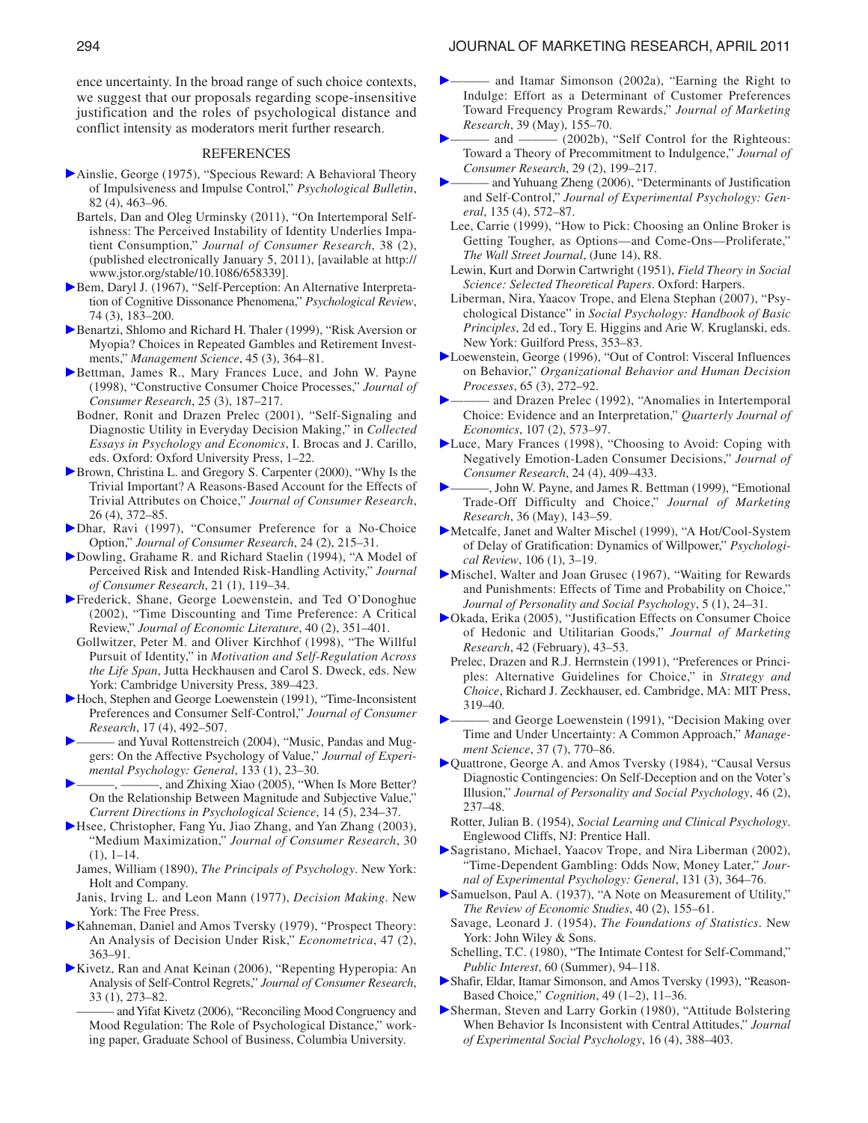ence uncertainty. In the broad range of such choice contexts, we suggest that our proposals regarding scope-insensitive justification and the roles of psychological distance and conflict intensity as moderators merit further research.

#### REFERENCES

- Ainslie, George (1975), "Specious Reward: A Behavioral Theory of Impulsiveness and Impulse Control," *Psychological Bulletin*, 82 (4), 463–96.
- Bartels, Dan and Oleg Urminsky (2011), "On Intertemporal Selfishness: The Perceived Instability of Identity Underlies Impatient Consumption," *Journal of Consumer Research*, 38 (2), (published electronically January 5, 2011), [available at http:// www.jstor.org/stable/10.1086/658339].
- Bem, Daryl J. (1967), "Self-Perception: An Alternative Interpretation of Cognitive Dissonance Phenomena," *Psychological Review*, 74 (3), 183–200.
- Benartzi, Shlomo and Richard H. Thaler (1999), "Risk Aversion or Myopia? Choices in Repeated Gambles and Retirement Investments," *Management Science*, 45 (3), 364–81.
- Bettman, James R., Mary Frances Luce, and John W. Payne (1998), "Constructive Consumer Choice Processes," *Journal of Consumer Research*, 25 (3), 187–217.
- Bodner, Ronit and Drazen Prelec (2001), "Self-Signaling and Diagnostic Utility in Everyday Decision Making," in *Collected Essays in Psychology and Economics*, I. Brocas and J. Carillo, eds. Oxford: Oxford University Press, 1–22.
- Brown, Christina L. and Gregory S. Carpenter (2000), "Why Is the Trivial Important? A Reasons-Based Account for the Effects of Trivial Attributes on Choice," *Journal of Consumer Research*, 26 (4), 372–85.
- Dhar, Ravi (1997), "Consumer Preference for a No-Choice Option," *Journal of Consumer Research*, 24 (2), 215–31.
- Dowling, Grahame R. and Richard Staelin (1994), "A Model of Perceived Risk and Intended Risk-Handling Activity," *Journal of Consumer Research*, 21 (1), 119–34.
- Frederick, Shane, George Loewenstein, and Ted O'Donoghue (2002), "Time Discounting and Time Preference: A Critical Review," *Journal of Economic Literature*, 40 (2), 351–401.
- Gollwitzer, Peter M. and Oliver Kirchhof (1998), "The Willful Pursuit of Identity," in *Motivation and Self-Regulation Across the Life Span*, Jutta Heckhausen and Carol S. Dweck, eds. New York: Cambridge University Press, 389–423.
- Hoch, Stephen and George Loewenstein (1991), "Time-Inconsistent Preferences and Consumer Self-Control," *Journal of Consumer Research*, 17 (4), 492–507.
- and Yuval Rottenstreich (2004), "Music, Pandas and Muggers: On the Affective Psychology of Value," *Journal of Experimental Psychology: General*, 133 (1), 23–30.
- -, ———, and Zhixing Xiao (2005), "When Is More Better? On the Relationship Between Magnitude and Subjective Value," *Current Directions in Psychological Science*, 14 (5), 234–37.
- Hsee, Christopher, Fang Yu, Jiao Zhang, and Yan Zhang (2003), "Medium Maximization," *Journal of Consumer Research*, 30  $(1), 1-14.$
- James, William (1890), *The Principals of Psychology*. New York: Holt and Company.
- Janis, Irving L. and Leon Mann (1977), *Decision Making*. New York: The Free Press.
- Kahneman, Daniel and Amos Tversky (1979), "Prospect Theory: An Analysis of Decision Under Risk," *Econometrica*, 47 (2), 363–91.
- Kivetz, Ran and Anat Keinan (2006), "Repenting Hyperopia: An Analysis of Self-Control Regrets," *Journal of Consumer Research*, 33 (1), 273–82.

and Yifat Kivetz (2006), "Reconciling Mood Congruency and Mood Regulation: The Role of Psychological Distance," working paper, Graduate School of Business, Columbia University.

- ——— and Itamar Simonson (2002a), "Earning the Right to Indulge: Effort as a Determinant of Customer Preferences Toward Frequency Program Rewards," *Journal of Marketing Research*, 39 (May), 155–70.
- and ——— (2002b), "Self Control for the Righteous: Toward a Theory of Precommitment to Indulgence," *Journal of Consumer Research*, 29 (2), 199–217.
- and Yuhuang Zheng (2006), "Determinants of Justification and Self-Control," *Journal of Experimental Psychology: General*, 135 (4), 572–87.
- Lee, Carrie (1999), "How to Pick: Choosing an Online Broker is Getting Tougher, as Options—and Come-Ons—Proliferate," *The Wall Street Journal*, (June 14), R8.
- Lewin, Kurt and Dorwin Cartwright (1951), *Field Theory in Social Science: Selected Theoretical Papers*. Oxford: Harpers.
- Liberman, Nira, Yaacov Trope, and Elena Stephan (2007), "Psychological Distance" in *Social Psychology: Handbook of Basic Principles*, 2d ed., Tory E. Higgins and Arie W. Kruglanski, eds. New York: Guilford Press, 353–83.
- Loewenstein, George (1996), "Out of Control: Visceral Influences on Behavior," *Organizational Behavior and Human Decision Processes*, 65 (3), 272–92.
- and Drazen Prelec (1992), "Anomalies in Intertemporal Choice: Evidence and an Interpretation," *Quarterly Journal of Economics*, 107 (2), 573–97.
- Luce, Mary Frances (1998), "Choosing to Avoid: Coping with Negatively Emotion-Laden Consumer Decisions," *Journal of Consumer Research*, 24 (4), 409–433.
- ———, John W. Payne, and James R. Bettman (1999), "Emotional Trade-Off Difficulty and Choice," *Journal of Marketing Research*, 36 (May), 143–59.
- Metcalfe, Janet and Walter Mischel (1999), "A Hot/Cool-System of Delay of Gratification: Dynamics of Willpower," *Psychological Review*, 106 (1), 3–19.
- Mischel, Walter and Joan Grusec (1967), "Waiting for Rewards and Punishments: Effects of Time and Probability on Choice," *Journal of Personality and Social Psychology*, 5 (1), 24–31.
- Okada, Erika (2005), "Justification Effects on Consumer Choice of Hedonic and Utilitarian Goods," *Journal of Marketing Research*, 42 (February), 43–53.
- Prelec, Drazen and R.J. Herrnstein (1991), "Preferences or Principles: Alternative Guidelines for Choice," in *Strategy and Choice*, Richard J. Zeckhauser, ed. Cambridge, MA: MIT Press, 319–40.
- and George Loewenstein (1991), "Decision Making over Time and Under Uncertainty: A Common Approach," *Management Science*, 37 (7), 770–86.
- Quattrone, George A. and Amos Tversky (1984), "Causal Versus Diagnostic Contingencies: On Self-Deception and on the Voter's Illusion," *Journal of Personality and Social Psychology*, 46 (2), 237–48.
- Rotter, Julian B. (1954), *Social Learning and Clinical Psychology*. Englewood Cliffs, NJ: Prentice Hall.
- Sagristano, Michael, Yaacov Trope, and Nira Liberman (2002), "Time-Dependent Gambling: Odds Now, Money Later," *Journal of Experimental Psychology: General*, 131 (3), 364–76.
- Samuelson, Paul A. (1937), "A Note on Measurement of Utility," *The Review of Economic Studies*, 40 (2), 155–61.
- Savage, Leonard J. (1954), *The Foundations of Statistics*. New York: John Wiley & Sons.
- Schelling, T.C. (1980), "The Intimate Contest for Self-Command," *Public Interest*, 60 (Summer), 94–118.
- Shafir, Eldar, Itamar Simonson, and Amos Tversky (1993), "Reason-Based Choice," *Cognition*, 49 (1–2), 11–36.
- Sherman, Steven and Larry Gorkin (1980), "Attitude Bolstering When Behavior Is Inconsistent with Central Attitudes," *Journal of Experimental Social Psychology*, 16 (4), 388–403.